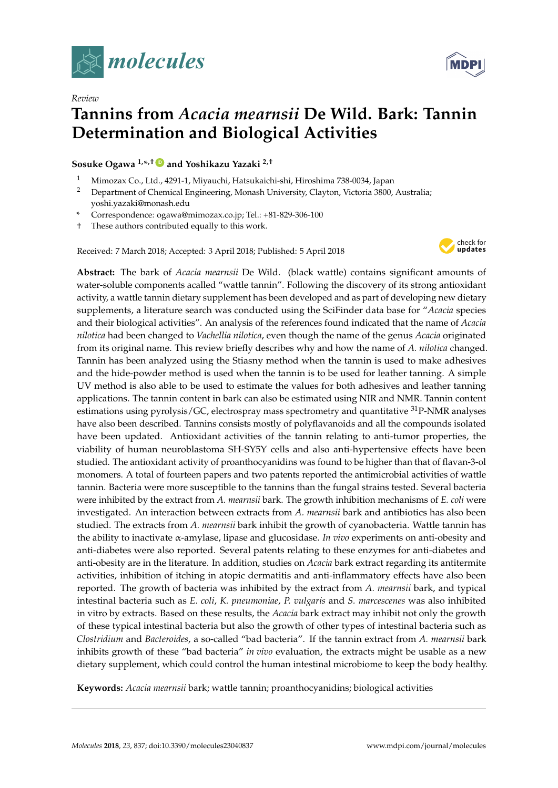

*Review*



# **Tannins from** *Acacia mearnsii* **De Wild. Bark: Tannin Determination and Biological Activities**

**Sosuke Ogawa 1,\* ,† [ID](https://orcid.org/0000-0001-9154-1897) and Yoshikazu Yazaki 2,†**

- <sup>1</sup> Mimozax Co., Ltd., 4291-1, Miyauchi, Hatsukaichi-shi, Hiroshima 738-0034, Japan
- <sup>2</sup> Department of Chemical Engineering, Monash University, Clayton, Victoria 3800, Australia; yoshi.yazaki@monash.edu
- **\*** Correspondence: ogawa@mimozax.co.jp; Tel.: +81-829-306-100
- † These authors contributed equally to this work.

Received: 7 March 2018; Accepted: 3 April 2018; Published: 5 April 2018



**Abstract:** The bark of *Acacia mearnsii* De Wild. (black wattle) contains significant amounts of water-soluble components acalled "wattle tannin". Following the discovery of its strong antioxidant activity, a wattle tannin dietary supplement has been developed and as part of developing new dietary supplements, a literature search was conducted using the SciFinder data base for "*Acacia* species and their biological activities". An analysis of the references found indicated that the name of *Acacia nilotica* had been changed to *Vachellia nilotica*, even though the name of the genus *Acacia* originated from its original name. This review briefly describes why and how the name of *A. nilotica* changed. Tannin has been analyzed using the Stiasny method when the tannin is used to make adhesives and the hide-powder method is used when the tannin is to be used for leather tanning. A simple UV method is also able to be used to estimate the values for both adhesives and leather tanning applications. The tannin content in bark can also be estimated using NIR and NMR. Tannin content estimations using pyrolysis/GC, electrospray mass spectrometry and quantitative <sup>31</sup>P-NMR analyses have also been described. Tannins consists mostly of polyflavanoids and all the compounds isolated have been updated. Antioxidant activities of the tannin relating to anti-tumor properties, the viability of human neuroblastoma SH-SY5Y cells and also anti-hypertensive effects have been studied. The antioxidant activity of proanthocyanidins was found to be higher than that of flavan-3-ol monomers. A total of fourteen papers and two patents reported the antimicrobial activities of wattle tannin. Bacteria were more susceptible to the tannins than the fungal strains tested. Several bacteria were inhibited by the extract from *A. mearnsii* bark. The growth inhibition mechanisms of *E. coli* were investigated. An interaction between extracts from *A. mearnsii* bark and antibiotics has also been studied. The extracts from *A. mearnsii* bark inhibit the growth of cyanobacteria. Wattle tannin has the ability to inactivate α-amylase, lipase and glucosidase. *In vivo* experiments on anti-obesity and anti-diabetes were also reported. Several patents relating to these enzymes for anti-diabetes and anti-obesity are in the literature. In addition, studies on *Acacia* bark extract regarding its antitermite activities, inhibition of itching in atopic dermatitis and anti-inflammatory effects have also been reported. The growth of bacteria was inhibited by the extract from *A. mearnsii* bark, and typical intestinal bacteria such as *E. coli*, *K. pneumoniae*, *P. vulgaris* and *S. marcescenes* was also inhibited in vitro by extracts. Based on these results, the *Acacia* bark extract may inhibit not only the growth of these typical intestinal bacteria but also the growth of other types of intestinal bacteria such as *Clostridium* and *Bacteroides*, a so-called "bad bacteria". If the tannin extract from *A. mearnsii* bark inhibits growth of these "bad bacteria" *in vivo* evaluation, the extracts might be usable as a new dietary supplement, which could control the human intestinal microbiome to keep the body healthy.

**Keywords:** *Acacia mearnsii* bark; wattle tannin; proanthocyanidins; biological activities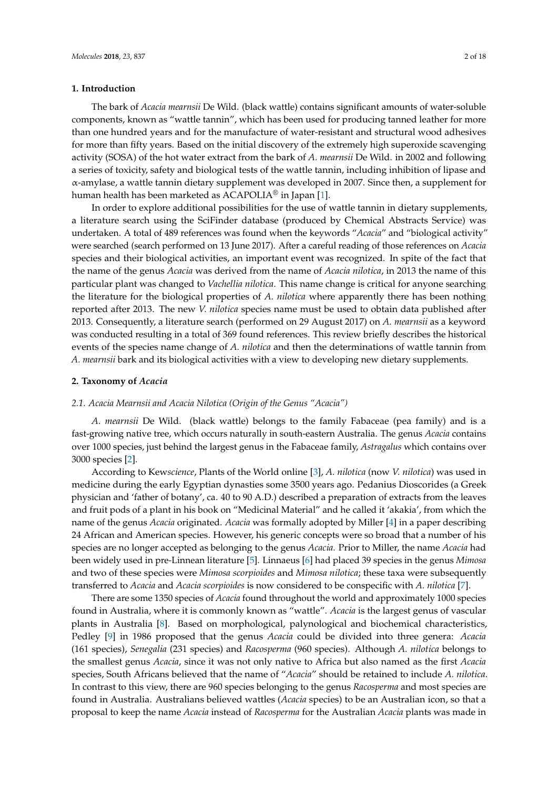## **1. Introduction**

The bark of *Acacia mearnsii* De Wild. (black wattle) contains significant amounts of water-soluble components, known as "wattle tannin", which has been used for producing tanned leather for more than one hundred years and for the manufacture of water-resistant and structural wood adhesives for more than fifty years. Based on the initial discovery of the extremely high superoxide scavenging activity (SOSA) of the hot water extract from the bark of *A. mearnsii* De Wild. in 2002 and following a series of toxicity, safety and biological tests of the wattle tannin, including inhibition of lipase and α-amylase, a wattle tannin dietary supplement was developed in 2007. Since then, a supplement for human health has been marketed as ACAPOLIA<sup>®</sup> in Japan [\[1\]](#page-13-0).

In order to explore additional possibilities for the use of wattle tannin in dietary supplements, a literature search using the SciFinder database (produced by Chemical Abstracts Service) was undertaken. A total of 489 references was found when the keywords "*Acacia*" and "biological activity" were searched (search performed on 13 June 2017). After a careful reading of those references on *Acacia* species and their biological activities, an important event was recognized. In spite of the fact that the name of the genus *Acacia* was derived from the name of *Acacia nilotica*, in 2013 the name of this particular plant was changed to *Vachellia nilotica*. This name change is critical for anyone searching the literature for the biological properties of *A. nilotica* where apparently there has been nothing reported after 2013. The new *V. nilotica* species name must be used to obtain data published after 2013. Consequently, a literature search (performed on 29 August 2017) on *A. mearnsii* as a keyword was conducted resulting in a total of 369 found references. This review briefly describes the historical events of the species name change of *A. nilotica* and then the determinations of wattle tannin from *A. mearnsii* bark and its biological activities with a view to developing new dietary supplements.

#### **2. Taxonomy of** *Acacia*

## *2.1. Acacia Mearnsii and Acacia Nilotica (Origin of the Genus "Acacia")*

*A. mearnsii* De Wild. (black wattle) belongs to the family Fabaceae (pea family) and is a fast-growing native tree, which occurs naturally in south-eastern Australia. The genus *Acacia* contains over 1000 species, just behind the largest genus in the Fabaceae family, *Astragalus* which contains over 3000 species [\[2\]](#page-13-1).

According to Kew*science*, Plants of the World online [\[3\]](#page-13-2), *A. nilotica* (now *V. nilotica*) was used in medicine during the early Egyptian dynasties some 3500 years ago. Pedanius Dioscorides (a Greek physician and 'father of botany', ca. 40 to 90 A.D.) described a preparation of extracts from the leaves and fruit pods of a plant in his book on "Medicinal Material" and he called it 'akakia', from which the name of the genus *Acacia* originated. *Acacia* was formally adopted by Miller [\[4\]](#page-14-0) in a paper describing 24 African and American species. However, his generic concepts were so broad that a number of his species are no longer accepted as belonging to the genus *Acacia.* Prior to Miller, the name *Acacia* had been widely used in pre-Linnean literature [\[5\]](#page-14-1). Linnaeus [\[6\]](#page-14-2) had placed 39 species in the genus *Mimosa* and two of these species were *Mimosa scorpioides* and *Mimosa nilotica*; these taxa were subsequently transferred to *Acacia* and *Acacia scorpioides* is now considered to be conspecific with *A. nilotica* [\[7\]](#page-14-3).

There are some 1350 species of *Acacia* found throughout the world and approximately 1000 species found in Australia, where it is commonly known as "wattle". *Acacia* is the largest genus of vascular plants in Australia [\[8\]](#page-14-4). Based on morphological, palynological and biochemical characteristics, Pedley [\[9\]](#page-14-5) in 1986 proposed that the genus *Acacia* could be divided into three genera: *Acacia* (161 species), *Senegalia* (231 species) and *Racosperma* (960 species). Although *A. nilotica* belongs to the smallest genus *Acacia*, since it was not only native to Africa but also named as the first *Acacia* species, South Africans believed that the name of "*Acacia*" should be retained to include *A. nilotica*. In contrast to this view, there are 960 species belonging to the genus *Racosperma* and most species are found in Australia. Australians believed wattles (*Acacia* species) to be an Australian icon, so that a proposal to keep the name *Acacia* instead of *Racosperma* for the Australian *Acacia* plants was made in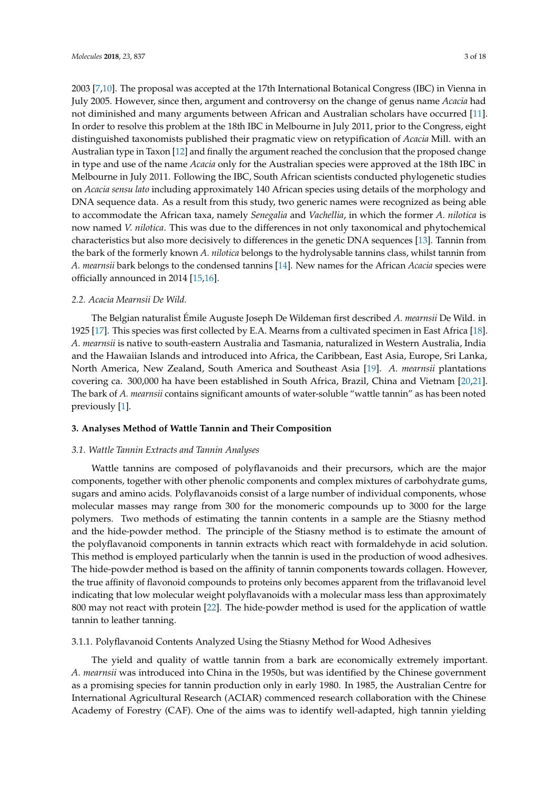2003 [\[7](#page-14-3)[,10\]](#page-14-6). The proposal was accepted at the 17th International Botanical Congress (IBC) in Vienna in July 2005. However, since then, argument and controversy on the change of genus name *Acacia* had not diminished and many arguments between African and Australian scholars have occurred [\[11\]](#page-14-7). In order to resolve this problem at the 18th IBC in Melbourne in July 2011, prior to the Congress, eight distinguished taxonomists published their pragmatic view on retypification of *Acacia* Mill. with an Australian type in Taxon [\[12\]](#page-14-8) and finally the argument reached the conclusion that the proposed change in type and use of the name *Acacia* only for the Australian species were approved at the 18th IBC in Melbourne in July 2011. Following the IBC, South African scientists conducted phylogenetic studies on *Acacia sensu lato* including approximately 140 African species using details of the morphology and DNA sequence data. As a result from this study, two generic names were recognized as being able to accommodate the African taxa, namely *Senegalia* and *Vachellia*, in which the former *A. nilotica* is now named *V. nilotica*. This was due to the differences in not only taxonomical and phytochemical characteristics but also more decisively to differences in the genetic DNA sequences [\[13\]](#page-14-9). Tannin from the bark of the formerly known *A. nilotica* belongs to the hydrolysable tannins class, whilst tannin from *A. mearnsii* bark belongs to the condensed tannins [\[14\]](#page-14-10). New names for the African *Acacia* species were officially announced in 2014 [\[15,](#page-14-11)[16\]](#page-14-12).

#### *2.2. Acacia Mearnsii De Wild.*

The Belgian naturalist Émile Auguste Joseph De Wildeman first described *A. mearnsii* De Wild. in 1925 [\[17\]](#page-14-13). This species was first collected by E.A. Mearns from a cultivated specimen in East Africa [\[18\]](#page-14-14). *A. mearnsii* is native to south-eastern Australia and Tasmania, naturalized in Western Australia, India and the Hawaiian Islands and introduced into Africa, the Caribbean, East Asia, Europe, Sri Lanka, North America, New Zealand, South America and Southeast Asia [\[19\]](#page-14-15). *A. mearnsii* plantations covering ca. 300,000 ha have been established in South Africa, Brazil, China and Vietnam [\[20,](#page-14-16)[21\]](#page-14-17). The bark of *A. mearnsii* contains significant amounts of water-soluble "wattle tannin" as has been noted previously [\[1\]](#page-13-0).

## **3. Analyses Method of Wattle Tannin and Their Composition**

#### *3.1. Wattle Tannin Extracts and Tannin Analyses*

Wattle tannins are composed of polyflavanoids and their precursors, which are the major components, together with other phenolic components and complex mixtures of carbohydrate gums, sugars and amino acids. Polyflavanoids consist of a large number of individual components, whose molecular masses may range from 300 for the monomeric compounds up to 3000 for the large polymers. Two methods of estimating the tannin contents in a sample are the Stiasny method and the hide-powder method. The principle of the Stiasny method is to estimate the amount of the polyflavanoid components in tannin extracts which react with formaldehyde in acid solution. This method is employed particularly when the tannin is used in the production of wood adhesives. The hide-powder method is based on the affinity of tannin components towards collagen. However, the true affinity of flavonoid compounds to proteins only becomes apparent from the triflavanoid level indicating that low molecular weight polyflavanoids with a molecular mass less than approximately 800 may not react with protein [\[22\]](#page-14-18). The hide-powder method is used for the application of wattle tannin to leather tanning.

## 3.1.1. Polyflavanoid Contents Analyzed Using the Stiasny Method for Wood Adhesives

The yield and quality of wattle tannin from a bark are economically extremely important. *A. mearnsii* was introduced into China in the 1950s, but was identified by the Chinese government as a promising species for tannin production only in early 1980. In 1985, the Australian Centre for International Agricultural Research (ACIAR) commenced research collaboration with the Chinese Academy of Forestry (CAF). One of the aims was to identify well-adapted, high tannin yielding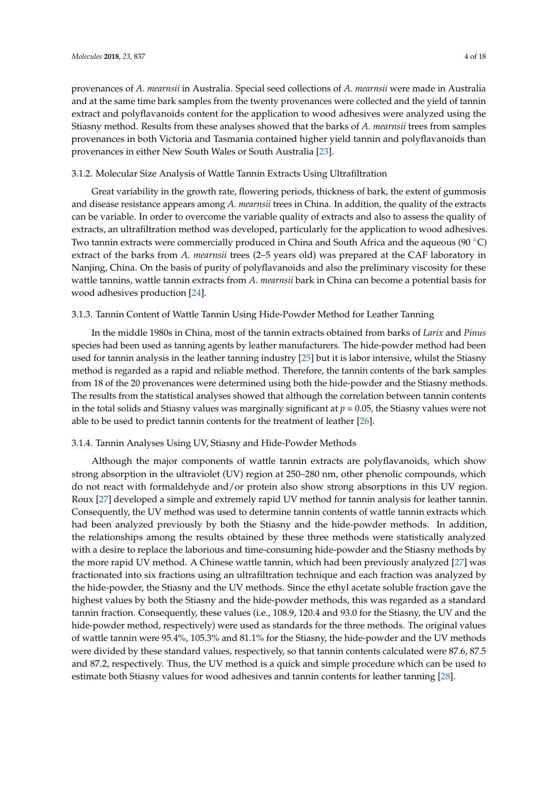provenances of *A. mearnsii* in Australia. Special seed collections of *A. mearnsii* were made in Australia and at the same time bark samples from the twenty provenances were collected and the yield of tannin extract and polyflavanoids content for the application to wood adhesives were analyzed using the Stiasny method. Results from these analyses showed that the barks of *A. mearnsii* trees from samples provenances in both Victoria and Tasmania contained higher yield tannin and polyflavanoids than provenances in either New South Wales or South Australia [\[23\]](#page-14-19).

## 3.1.2. Molecular Size Analysis of Wattle Tannin Extracts Using Ultrafiltration

Great variability in the growth rate, flowering periods, thickness of bark, the extent of gummosis and disease resistance appears among *A. mearnsii* trees in China. In addition, the quality of the extracts can be variable. In order to overcome the variable quality of extracts and also to assess the quality of extracts, an ultrafiltration method was developed, particularly for the application to wood adhesives. Two tannin extracts were commercially produced in China and South Africa and the aqueous (90 ◦C) extract of the barks from *A. mearnsii* trees (2–5 years old) was prepared at the CAF laboratory in Nanjing, China. On the basis of purity of polyflavanoids and also the preliminary viscosity for these wattle tannins, wattle tannin extracts from *A. mearnsii* bark in China can become a potential basis for wood adhesives production [\[24\]](#page-14-20).

## 3.1.3. Tannin Content of Wattle Tannin Using Hide-Powder Method for Leather Tanning

In the middle 1980s in China, most of the tannin extracts obtained from barks of *Larix* and *Pinus* species had been used as tanning agents by leather manufacturers. The hide-powder method had been used for tannin analysis in the leather tanning industry [\[25\]](#page-14-21) but it is labor intensive, whilst the Stiasny method is regarded as a rapid and reliable method. Therefore, the tannin contents of the bark samples from 18 of the 20 provenances were determined using both the hide-powder and the Stiasny methods. The results from the statistical analyses showed that although the correlation between tannin contents in the total solids and Stiasny values was marginally significant at  $p = 0.05$ , the Stiasny values were not able to be used to predict tannin contents for the treatment of leather [\[26\]](#page-14-22).

## 3.1.4. Tannin Analyses Using UV, Stiasny and Hide-Powder Methods

Although the major components of wattle tannin extracts are polyflavanoids, which show strong absorption in the ultraviolet (UV) region at 250–280 nm, other phenolic compounds, which do not react with formaldehyde and/or protein also show strong absorptions in this UV region. Roux [\[27\]](#page-14-23) developed a simple and extremely rapid UV method for tannin analysis for leather tannin. Consequently, the UV method was used to determine tannin contents of wattle tannin extracts which had been analyzed previously by both the Stiasny and the hide-powder methods. In addition, the relationships among the results obtained by these three methods were statistically analyzed with a desire to replace the laborious and time-consuming hide-powder and the Stiasny methods by the more rapid UV method. A Chinese wattle tannin, which had been previously analyzed [\[27\]](#page-14-23) was fractionated into six fractions using an ultrafiltration technique and each fraction was analyzed by the hide-powder, the Stiasny and the UV methods. Since the ethyl acetate soluble fraction gave the highest values by both the Stiasny and the hide-powder methods, this was regarded as a standard tannin fraction. Consequently, these values (i.e., 108.9, 120.4 and 93.0 for the Stiasny, the UV and the hide-powder method, respectively) were used as standards for the three methods. The original values of wattle tannin were 95.4%, 105.3% and 81.1% for the Stiasny, the hide-powder and the UV methods were divided by these standard values, respectively, so that tannin contents calculated were 87.6, 87.5 and 87.2, respectively. Thus, the UV method is a quick and simple procedure which can be used to estimate both Stiasny values for wood adhesives and tannin contents for leather tanning [\[28\]](#page-15-0).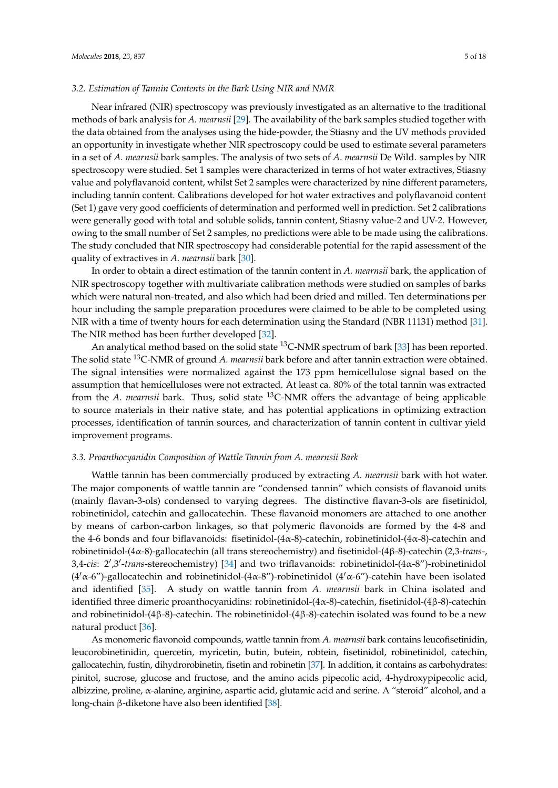#### *3.2. Estimation of Tannin Contents in the Bark Using NIR and NMR*

Near infrared (NIR) spectroscopy was previously investigated as an alternative to the traditional methods of bark analysis for *A. mearnsii* [\[29\]](#page-15-1). The availability of the bark samples studied together with the data obtained from the analyses using the hide-powder, the Stiasny and the UV methods provided an opportunity in investigate whether NIR spectroscopy could be used to estimate several parameters in a set of *A. mearnsii* bark samples. The analysis of two sets of *A. mearnsii* De Wild. samples by NIR spectroscopy were studied. Set 1 samples were characterized in terms of hot water extractives, Stiasny value and polyflavanoid content, whilst Set 2 samples were characterized by nine different parameters, including tannin content. Calibrations developed for hot water extractives and polyflavanoid content (Set 1) gave very good coefficients of determination and performed well in prediction. Set 2 calibrations were generally good with total and soluble solids, tannin content, Stiasny value-2 and UV-2. However, owing to the small number of Set 2 samples, no predictions were able to be made using the calibrations. The study concluded that NIR spectroscopy had considerable potential for the rapid assessment of the quality of extractives in *A. mearnsii* bark [\[30\]](#page-15-2).

In order to obtain a direct estimation of the tannin content in *A. mearnsii* bark, the application of NIR spectroscopy together with multivariate calibration methods were studied on samples of barks which were natural non-treated, and also which had been dried and milled. Ten determinations per hour including the sample preparation procedures were claimed to be able to be completed using NIR with a time of twenty hours for each determination using the Standard (NBR 11131) method [\[31\]](#page-15-3). The NIR method has been further developed [\[32\]](#page-15-4).

An analytical method based on the solid state  $^{13}$ C-NMR spectrum of bark [\[33\]](#page-15-5) has been reported. The solid state <sup>13</sup>C-NMR of ground *A. mearnsii* bark before and after tannin extraction were obtained. The signal intensities were normalized against the 173 ppm hemicellulose signal based on the assumption that hemicelluloses were not extracted. At least ca. 80% of the total tannin was extracted from the *A. mearnsii* bark. Thus, solid state <sup>13</sup>C-NMR offers the advantage of being applicable to source materials in their native state, and has potential applications in optimizing extraction processes, identification of tannin sources, and characterization of tannin content in cultivar yield improvement programs.

## *3.3. Proanthocyanidin Composition of Wattle Tannin from A. mearnsii Bark*

Wattle tannin has been commercially produced by extracting *A. mearnsii* bark with hot water. The major components of wattle tannin are "condensed tannin" which consists of flavanoid units (mainly flavan-3-ols) condensed to varying degrees. The distinctive flavan-3-ols are fisetinidol, robinetinidol, catechin and gallocatechin. These flavanoid monomers are attached to one another by means of carbon-carbon linkages, so that polymeric flavonoids are formed by the 4-8 and the 4-6 bonds and four biflavanoids: fisetinidol-(4 $\alpha$ -8)-catechin, robinetinidol-(4 $\alpha$ -8)-catechin and robinetinidol-(4α-8)-gallocatechin (all trans stereochemistry) and fisetinidol-(4β-8)-catechin (2,3-*trans*-, 3,4-cis: 2',3'-trans-stereochemistry) [\[34\]](#page-15-6) and two triflavanoids: robinetinidol-(4α-8")-robinetinidol  $(4'\alpha$ -6")-gallocatechin and robinetinidol- $(4\alpha$ -8")-robinetinidol  $(4'\alpha$ -6")-catehin have been isolated and identified [\[35\]](#page-15-7). A study on wattle tannin from *A. mearnsii* bark in China isolated and identified three dimeric proanthocyanidins: robinetinidol-(4α-8)-catechin, fisetinidol-(4β-8)-catechin and robinetinidol-(4β-8)-catechin. The robinetinidol-(4β-8)-catechin isolated was found to be a new natural product [\[36\]](#page-15-8).

As monomeric flavonoid compounds, wattle tannin from *A. mearnsii* bark contains leucofisetinidin, leucorobinetinidin, quercetin, myricetin, butin, butein, robtein, fisetinidol, robinetinidol, catechin, gallocatechin, fustin, dihydrorobinetin, fisetin and robinetin [\[37\]](#page-15-9). In addition, it contains as carbohydrates: pinitol, sucrose, glucose and fructose, and the amino acids pipecolic acid, 4-hydroxypipecolic acid, albizzine, proline, α-alanine, arginine, aspartic acid, glutamic acid and serine. A "steroid" alcohol, and a long-chain β-diketone have also been identified [\[38\]](#page-15-10).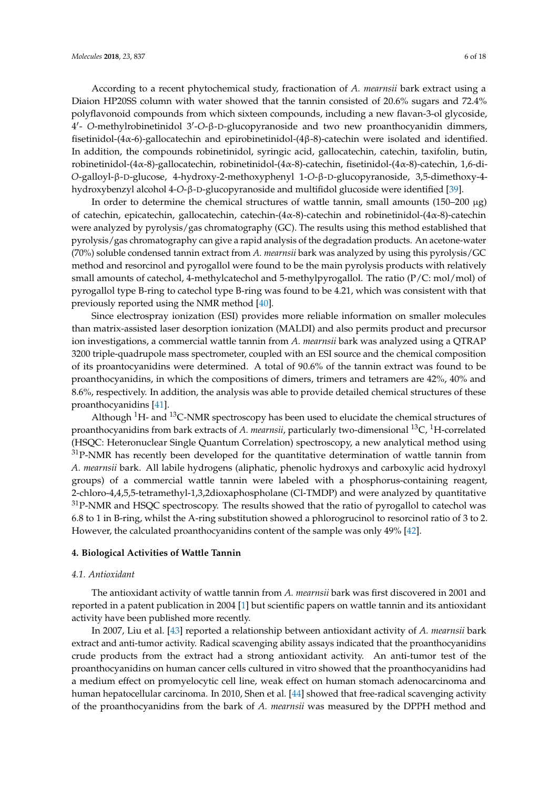According to a recent phytochemical study, fractionation of *A. mearnsii* bark extract using a Diaion HP20SS column with water showed that the tannin consisted of 20.6% sugars and 72.4% polyflavonoid compounds from which sixteen compounds, including a new flavan-3-ol glycoside, 4'- O-methylrobinetinidol 3'-O-β-D-glucopyranoside and two new proanthocyanidin dimmers, fisetinidol-(4α-6)-gallocatechin and epirobinetinidol-(4β-8)-catechin were isolated and identified. In addition, the compounds robinetinidol, syringic acid, gallocatechin, catechin, taxifolin, butin, robinetinidol-(4α-8)-gallocatechin, robinetinidol-(4α-8)-catechin, fisetinidol-(4α-8)-catechin, 1,6-di-*O*-galloyl-β-D-glucose, 4-hydroxy-2-methoxyphenyl 1-*O*-β-D-glucopyranoside, 3,5-dimethoxy-4 hydroxybenzyl alcohol 4-*O*-β-D-glucopyranoside and multifidol glucoside were identified [\[39\]](#page-15-11).

In order to determine the chemical structures of wattle tannin, small amounts  $(150-200 \mu g)$ of catechin, epicatechin, gallocatechin, catechin-(4 $\alpha$ -8)-catechin and robinetinidol-(4 $\alpha$ -8)-catechin were analyzed by pyrolysis/gas chromatography (GC). The results using this method established that pyrolysis/gas chromatography can give a rapid analysis of the degradation products. An acetone-water (70%) soluble condensed tannin extract from *A. mearnsii* bark was analyzed by using this pyrolysis/GC method and resorcinol and pyrogallol were found to be the main pyrolysis products with relatively small amounts of catechol, 4-methylcatechol and 5-methylpyrogallol. The ratio (P/C: mol/mol) of pyrogallol type B-ring to catechol type B-ring was found to be 4.21, which was consistent with that previously reported using the NMR method [\[40\]](#page-15-12).

Since electrospray ionization (ESI) provides more reliable information on smaller molecules than matrix-assisted laser desorption ionization (MALDI) and also permits product and precursor ion investigations, a commercial wattle tannin from *A. mearnsii* bark was analyzed using a QTRAP 3200 triple-quadrupole mass spectrometer, coupled with an ESI source and the chemical composition of its proantocyanidins were determined. A total of 90.6% of the tannin extract was found to be proanthocyanidins, in which the compositions of dimers, trimers and tetramers are 42%, 40% and 8.6%, respectively. In addition, the analysis was able to provide detailed chemical structures of these proanthocyanidins [\[41\]](#page-15-13).

Although  ${}^{1}$ H- and  ${}^{13}$ C-NMR spectroscopy has been used to elucidate the chemical structures of proanthocyanidins from bark extracts of *A. mearnsii*, particularly two-dimensional <sup>13</sup>C, <sup>1</sup>H-correlated (HSQC: Heteronuclear Single Quantum Correlation) spectroscopy, a new analytical method using  $31P-NMR$  has recently been developed for the quantitative determination of wattle tannin from *A. mearnsii* bark. All labile hydrogens (aliphatic, phenolic hydroxys and carboxylic acid hydroxyl groups) of a commercial wattle tannin were labeled with a phosphorus-containing reagent, 2-chloro-4,4,5,5-tetramethyl-1,3,2dioxaphospholane (Cl-TMDP) and were analyzed by quantitative  $31P$ -NMR and HSQC spectroscopy. The results showed that the ratio of pyrogallol to catechol was 6.8 to 1 in B-ring, whilst the A-ring substitution showed a phlorogrucinol to resorcinol ratio of 3 to 2. However, the calculated proanthocyanidins content of the sample was only 49% [\[42\]](#page-15-14).

#### **4. Biological Activities of Wattle Tannin**

#### *4.1. Antioxidant*

The antioxidant activity of wattle tannin from *A. mearnsii* bark was first discovered in 2001 and reported in a patent publication in 2004 [\[1\]](#page-13-0) but scientific papers on wattle tannin and its antioxidant activity have been published more recently.

In 2007, Liu et al. [\[43\]](#page-15-15) reported a relationship between antioxidant activity of *A. mearnsii* bark extract and anti-tumor activity. Radical scavenging ability assays indicated that the proanthocyanidins crude products from the extract had a strong antioxidant activity. An anti-tumor test of the proanthocyanidins on human cancer cells cultured in vitro showed that the proanthocyanidins had a medium effect on promyelocytic cell line, weak effect on human stomach adenocarcinoma and human hepatocellular carcinoma. In 2010, Shen et al. [\[44\]](#page-15-16) showed that free-radical scavenging activity of the proanthocyanidins from the bark of *A. mearnsii* was measured by the DPPH method and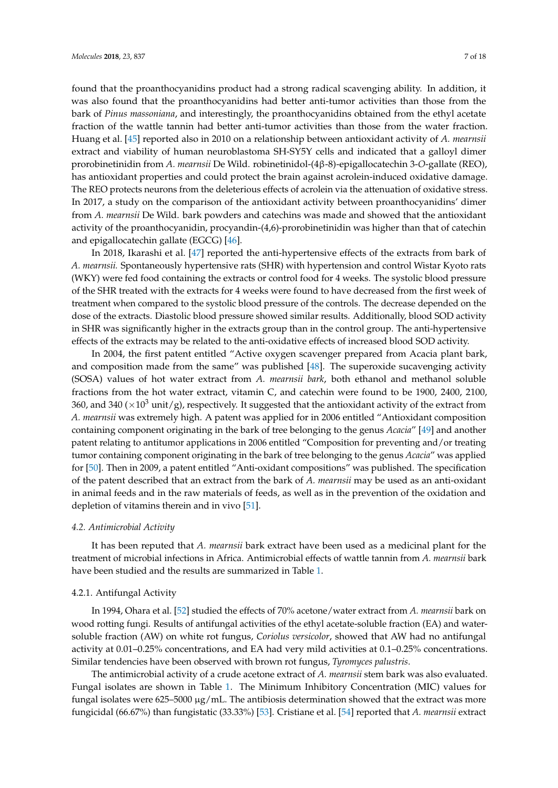found that the proanthocyanidins product had a strong radical scavenging ability. In addition, it was also found that the proanthocyanidins had better anti-tumor activities than those from the bark of *Pinus massoniana*, and interestingly, the proanthocyanidins obtained from the ethyl acetate fraction of the wattle tannin had better anti-tumor activities than those from the water fraction. Huang et al. [\[45\]](#page-15-17) reported also in 2010 on a relationship between antioxidant activity of *A. mearnsii* extract and viability of human neuroblastoma SH-SY5Y cells and indicated that a galloyl dimer prorobinetinidin from *A. mearnsii* De Wild. robinetinidol-(4β-8)-epigallocatechin 3-*O*-gallate (REO), has antioxidant properties and could protect the brain against acrolein-induced oxidative damage. The REO protects neurons from the deleterious effects of acrolein via the attenuation of oxidative stress. In 2017, a study on the comparison of the antioxidant activity between proanthocyanidins' dimer from *A. mearnsii* De Wild. bark powders and catechins was made and showed that the antioxidant activity of the proanthocyanidin, procyandin-(4,6)-prorobinetinidin was higher than that of catechin and epigallocatechin gallate (EGCG) [\[46\]](#page-15-18).

In 2018, Ikarashi et al. [\[47\]](#page-15-19) reported the anti-hypertensive effects of the extracts from bark of *A. mearnsii.* Spontaneously hypertensive rats (SHR) with hypertension and control Wistar Kyoto rats (WKY) were fed food containing the extracts or control food for 4 weeks. The systolic blood pressure of the SHR treated with the extracts for 4 weeks were found to have decreased from the first week of treatment when compared to the systolic blood pressure of the controls. The decrease depended on the dose of the extracts. Diastolic blood pressure showed similar results. Additionally, blood SOD activity in SHR was significantly higher in the extracts group than in the control group. The anti-hypertensive effects of the extracts may be related to the anti-oxidative effects of increased blood SOD activity.

In 2004, the first patent entitled "Active oxygen scavenger prepared from Acacia plant bark, and composition made from the same" was published [\[48\]](#page-15-20). The superoxide sucavenging activity (SOSA) values of hot water extract from *A. mearnsii bark*, both ethanol and methanol soluble fractions from the hot water extract, vitamin C, and catechin were found to be 1900, 2400, 2100, 360, and 340 ( $\times$ 10<sup>3</sup> unit/g), respectively. It suggested that the antioxidant activity of the extract from *A. mearnsii* was extremely high. A patent was applied for in 2006 entitled "Antioxidant composition containing component originating in the bark of tree belonging to the genus *Acacia*" [\[49\]](#page-16-0) and another patent relating to antitumor applications in 2006 entitled "Composition for preventing and/or treating tumor containing component originating in the bark of tree belonging to the genus *Acacia*" was applied for [\[50\]](#page-16-1). Then in 2009, a patent entitled "Anti-oxidant compositions" was published. The specification of the patent described that an extract from the bark of *A. mearnsii* may be used as an anti-oxidant in animal feeds and in the raw materials of feeds, as well as in the prevention of the oxidation and depletion of vitamins therein and in vivo [\[51\]](#page-16-2).

## *4.2. Antimicrobial Activity*

It has been reputed that *A. mearnsii* bark extract have been used as a medicinal plant for the treatment of microbial infections in Africa. Antimicrobial effects of wattle tannin from *A. mearnsii* bark have been studied and the results are summarized in Table [1.](#page-10-0)

#### <span id="page-6-0"></span>4.2.1. Antifungal Activity

In 1994, Ohara et al. [\[52\]](#page-16-3) studied the effects of 70% acetone/water extract from *A. mearnsii* bark on wood rotting fungi. Results of antifungal activities of the ethyl acetate-soluble fraction (EA) and watersoluble fraction (AW) on white rot fungus, *Coriolus versicolor*, showed that AW had no antifungal activity at 0.01–0.25% concentrations, and EA had very mild activities at 0.1–0.25% concentrations. Similar tendencies have been observed with brown rot fungus, *Tyromyces palustris*.

The antimicrobial activity of a crude acetone extract of *A. mearnsii* stem bark was also evaluated. Fungal isolates are shown in Table [1.](#page-10-0) The Minimum Inhibitory Concentration (MIC) values for fungal isolates were  $625-5000 \mu g/mL$ . The antibiosis determination showed that the extract was more fungicidal (66.67%) than fungistatic (33.33%) [\[53\]](#page-16-4). Cristiane et al. [\[54\]](#page-16-5) reported that *A. mearnsii* extract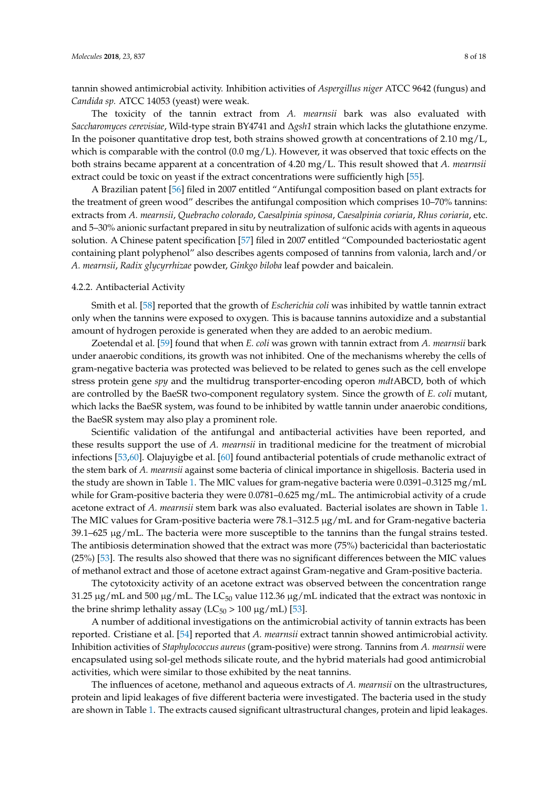tannin showed antimicrobial activity. Inhibition activities of *Aspergillus niger* ATCC 9642 (fungus) and *Candida sp.* ATCC 14053 (yeast) were weak.

The toxicity of the tannin extract from *A. mearnsii* bark was also evaluated with *Saccharomyces cerevisiae*, Wild-type strain BY4741 and ∆*gsh1* strain which lacks the glutathione enzyme. In the poisoner quantitative drop test, both strains showed growth at concentrations of  $2.10 \text{ mg/L}$ , which is comparable with the control  $(0.0 \text{ mg/L})$ . However, it was observed that toxic effects on the both strains became apparent at a concentration of 4.20 mg/L. This result showed that *A. mearnsii* extract could be toxic on yeast if the extract concentrations were sufficiently high [\[55\]](#page-16-6).

A Brazilian patent [\[56\]](#page-16-7) filed in 2007 entitled "Antifungal composition based on plant extracts for the treatment of green wood" describes the antifungal composition which comprises 10–70% tannins: extracts from *A. mearnsii*, *Quebracho colorado*, *Caesalpinia spinosa*, *Caesalpinia coriaria*, *Rhus coriaria*, etc. and 5–30% anionic surfactant prepared in situ by neutralization of sulfonic acids with agents in aqueous solution. A Chinese patent specification [\[57\]](#page-16-8) filed in 2007 entitled "Compounded bacteriostatic agent containing plant polyphenol" also describes agents composed of tannins from valonia, larch and/or *A. mearnsii*, *Radix glycyrrhizae* powder, *Ginkgo biloba* leaf powder and baicalein.

#### 4.2.2. Antibacterial Activity

Smith et al. [\[58\]](#page-16-9) reported that the growth of *Escherichia coli* was inhibited by wattle tannin extract only when the tannins were exposed to oxygen. This is bacause tannins autoxidize and a substantial amount of hydrogen peroxide is generated when they are added to an aerobic medium.

Zoetendal et al. [\[59\]](#page-16-10) found that when *E. coli* was grown with tannin extract from *A. mearnsii* bark under anaerobic conditions, its growth was not inhibited. One of the mechanisms whereby the cells of gram-negative bacteria was protected was believed to be related to genes such as the cell envelope stress protein gene *spy* and the multidrug transporter-encoding operon *mdt*ABCD, both of which are controlled by the BaeSR two-component regulatory system. Since the growth of *E. coli* mutant, which lacks the BaeSR system, was found to be inhibited by wattle tannin under anaerobic conditions, the BaeSR system may also play a prominent role.

Scientific validation of the antifungal and antibacterial activities have been reported, and these results support the use of *A. mearnsii* in traditional medicine for the treatment of microbial infections [\[53](#page-16-4)[,60\]](#page-16-11). Olajuyigbe et al. [\[60\]](#page-16-11) found antibacterial potentials of crude methanolic extract of the stem bark of *A. mearnsii* against some bacteria of clinical importance in shigellosis. Bacteria used in the study are shown in Table [1.](#page-10-0) The MIC values for gram-negative bacteria were 0.0391–0.3125 mg/mL while for Gram-positive bacteria they were 0.0781–0.625 mg/mL. The antimicrobial activity of a crude acetone extract of *A. mearnsii* stem bark was also evaluated. Bacterial isolates are shown in Table [1.](#page-10-0) The MIC values for Gram-positive bacteria were  $78.1$ –312.5  $\mu$ g/mL and for Gram-negative bacteria  $39.1-625 \mu g/mL$ . The bacteria were more susceptible to the tannins than the fungal strains tested. The antibiosis determination showed that the extract was more (75%) bactericidal than bacteriostatic (25%) [\[53\]](#page-16-4). The results also showed that there was no significant differences between the MIC values of methanol extract and those of acetone extract against Gram-negative and Gram-positive bacteria.

The cytotoxicity activity of an acetone extract was observed between the concentration range 31.25  $\mu$ g/mL and 500  $\mu$ g/mL. The LC<sub>50</sub> value 112.36  $\mu$ g/mL indicated that the extract was nontoxic in the brine shrimp lethality assay ( $LC_{50}$  > 100  $\mu$ g/mL) [\[53\]](#page-16-4).

A number of additional investigations on the antimicrobial activity of tannin extracts has been reported. Cristiane et al. [\[54\]](#page-16-5) reported that *A. mearnsii* extract tannin showed antimicrobial activity. Inhibition activities of *Staphylococcus aureus* (gram-positive) were strong. Tannins from *A. mearnsii* were encapsulated using sol-gel methods silicate route, and the hybrid materials had good antimicrobial activities, which were similar to those exhibited by the neat tannins.

The influences of acetone, methanol and aqueous extracts of *A. mearnsii* on the ultrastructures, protein and lipid leakages of five different bacteria were investigated. The bacteria used in the study are shown in Table [1.](#page-10-0) The extracts caused significant ultrastructural changes, protein and lipid leakages.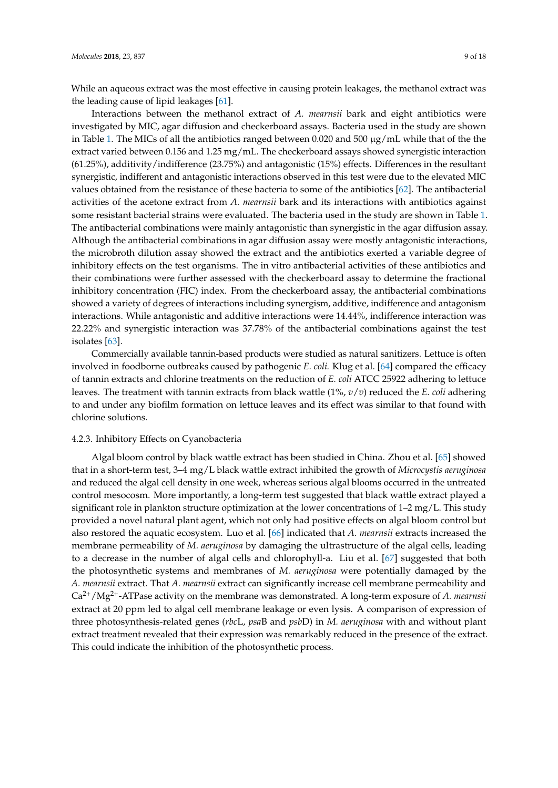While an aqueous extract was the most effective in causing protein leakages, the methanol extract was the leading cause of lipid leakages [\[61\]](#page-16-12).

Interactions between the methanol extract of *A. mearnsii* bark and eight antibiotics were investigated by MIC, agar diffusion and checkerboard assays. Bacteria used in the study are shown in Table [1.](#page-10-0) The MICs of all the antibiotics ranged between 0.020 and 500  $\mu$ g/mL while that of the the extract varied between 0.156 and 1.25 mg/mL. The checkerboard assays showed synergistic interaction (61.25%), additivity/indifference (23.75%) and antagonistic (15%) effects. Differences in the resultant synergistic, indifferent and antagonistic interactions observed in this test were due to the elevated MIC values obtained from the resistance of these bacteria to some of the antibiotics [\[62\]](#page-16-13). The antibacterial activities of the acetone extract from *A. mearnsii* bark and its interactions with antibiotics against some resistant bacterial strains were evaluated. The bacteria used in the study are shown in Table [1.](#page-10-0) The antibacterial combinations were mainly antagonistic than synergistic in the agar diffusion assay. Although the antibacterial combinations in agar diffusion assay were mostly antagonistic interactions, the microbroth dilution assay showed the extract and the antibiotics exerted a variable degree of inhibitory effects on the test organisms. The in vitro antibacterial activities of these antibiotics and their combinations were further assessed with the checkerboard assay to determine the fractional inhibitory concentration (FIC) index. From the checkerboard assay, the antibacterial combinations showed a variety of degrees of interactions including synergism, additive, indifference and antagonism interactions. While antagonistic and additive interactions were 14.44%, indifference interaction was 22.22% and synergistic interaction was 37.78% of the antibacterial combinations against the test isolates [\[63\]](#page-16-14).

Commercially available tannin-based products were studied as natural sanitizers. Lettuce is often involved in foodborne outbreaks caused by pathogenic *E. coli.* Klug et al. [\[64\]](#page-16-15) compared the efficacy of tannin extracts and chlorine treatments on the reduction of *E. coli* ATCC 25922 adhering to lettuce leaves. The treatment with tannin extracts from black wattle (1%, *v*/*v*) reduced the *E. coli* adhering to and under any biofilm formation on lettuce leaves and its effect was similar to that found with chlorine solutions.

## 4.2.3. Inhibitory Effects on Cyanobacteria

Algal bloom control by black wattle extract has been studied in China. Zhou et al. [\[65\]](#page-16-16) showed that in a short-term test, 3–4 mg/L black wattle extract inhibited the growth of *Microcystis aeruginosa* and reduced the algal cell density in one week, whereas serious algal blooms occurred in the untreated control mesocosm. More importantly, a long-term test suggested that black wattle extract played a significant role in plankton structure optimization at the lower concentrations of 1–2 mg/L. This study provided a novel natural plant agent, which not only had positive effects on algal bloom control but also restored the aquatic ecosystem. Luo et al. [\[66\]](#page-16-17) indicated that *A. mearnsii* extracts increased the membrane permeability of *M. aeruginosa* by damaging the ultrastructure of the algal cells, leading to a decrease in the number of algal cells and chlorophyll-a. Liu et al. [\[67\]](#page-16-18) suggested that both the photosynthetic systems and membranes of *M. aeruginosa* were potentially damaged by the *A. mearnsii* extract. That *A. mearnsii* extract can significantly increase cell membrane permeability and Ca2+/Mg2+-ATPase activity on the membrane was demonstrated. A long-term exposure of *A. mearnsii* extract at 20 ppm led to algal cell membrane leakage or even lysis. A comparison of expression of three photosynthesis-related genes (*rbc*L, *psa*B and *psb*D) in *M. aeruginosa* with and without plant extract treatment revealed that their expression was remarkably reduced in the presence of the extract. This could indicate the inhibition of the photosynthetic process.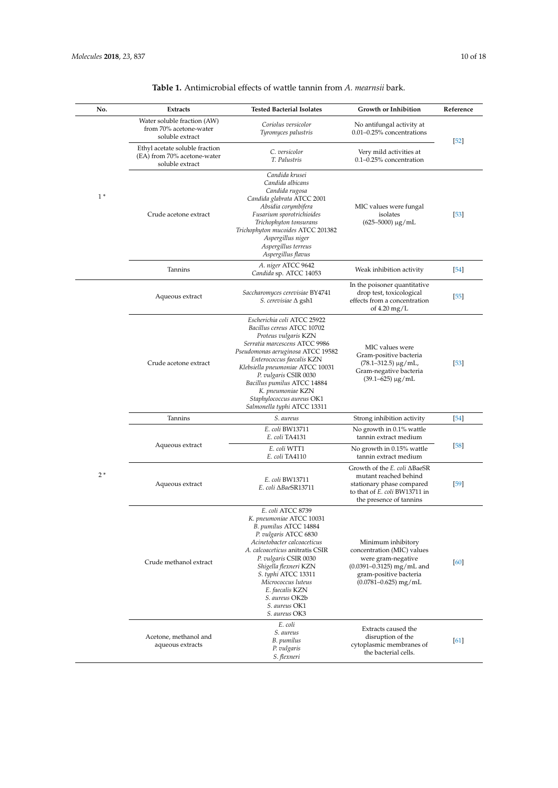| No.  | <b>Extracts</b>                                                                  | <b>Tested Bacterial Isolates</b>                                                                                                                                                                                                                                                                                                                                  | Growth or Inhibition                                                                                                                                          | Reference |
|------|----------------------------------------------------------------------------------|-------------------------------------------------------------------------------------------------------------------------------------------------------------------------------------------------------------------------------------------------------------------------------------------------------------------------------------------------------------------|---------------------------------------------------------------------------------------------------------------------------------------------------------------|-----------|
| $1*$ | Water soluble fraction (AW)<br>from 70% acetone-water<br>soluble extract         | Coriolus versicolor<br>Tyromyces palustris                                                                                                                                                                                                                                                                                                                        | No antifungal activity at<br>0.01-0.25% concentrations                                                                                                        | $[52]$    |
|      | Ethyl acetate soluble fraction<br>(EA) from 70% acetone-water<br>soluble extract | C. versicolor<br>T. Palustris                                                                                                                                                                                                                                                                                                                                     | Very mild activities at<br>0.1-0.25% concentration                                                                                                            |           |
|      | Crude acetone extract                                                            | Candida krusei<br>Candida albicans<br>Candida rugosa<br>Candida glabrata ATCC 2001<br>Absidia corymbifera<br>Fusarium sporotrichioides<br>Trichophyton tonsurans<br>Trichophyton mucoides ATCC 201382<br>Aspergillus niger<br>Aspergillus terreus<br>Aspergillus flavus                                                                                           | MIC values were fungal<br>isolates<br>$(625 - 5000) \mu g/mL$                                                                                                 | $[53]$    |
|      | Tannins                                                                          | A. niger ATCC 9642<br>Candida sp. ATCC 14053                                                                                                                                                                                                                                                                                                                      | Weak inhibition activity                                                                                                                                      | [54]      |
|      | Aqueous extract                                                                  | Saccharomyces cerevisiae BY4741<br>S. cerevisiae $\Delta$ gsh1                                                                                                                                                                                                                                                                                                    | In the poisoner quantitative<br>drop test, toxicological<br>effects from a concentration<br>of $4.20 \text{ mg/L}$                                            | $[55]$    |
|      | Crude acetone extract                                                            | Escherichia coli ATCC 25922<br>Bacillus cereus ATCC 10702<br>Proteus vulgaris KZN<br>Serratia marcescens ATCC 9986<br>Pseudomonas aeruginosa ATCC 19582<br>Enterococcus faecalis KZN<br>Klebsiella pneumoniae ATCC 10031<br>P. vulgaris CSIR 0030<br>Bacillus pumilus ATCC 14884<br>K. pneumoniae KZN<br>Staphylococcus aureus OK1<br>Salmonella typhi ATCC 13311 | MIC values were<br>Gram-positive bacteria<br>$(78.1 - 312.5) \mu g/mL$<br>Gram-negative bacteria<br>$(39.1 - 625) \mu g/mL$                                   | $[53]$    |
|      | Tannins                                                                          | S. aureus                                                                                                                                                                                                                                                                                                                                                         | Strong inhibition activity                                                                                                                                    | $[54]$    |
|      | Aqueous extract                                                                  | E. coli BW13711<br>E. coli TA4131                                                                                                                                                                                                                                                                                                                                 | No growth in 0.1% wattle<br>tannin extract medium                                                                                                             | $[58]$    |
|      |                                                                                  | E. coli WTT1<br>E. coli TA4110                                                                                                                                                                                                                                                                                                                                    | No growth in 0.15% wattle<br>tannin extract medium                                                                                                            |           |
| $2*$ | Aqueous extract                                                                  | E. coli BW13711<br>E. coli ABaeSR13711                                                                                                                                                                                                                                                                                                                            | Growth of the E. coli ∆BaeSR<br>mutant reached behind<br>stationary phase compared<br>to that of E. coli BW13711 in<br>the presence of tannins                | $[59]$    |
|      | Crude methanol extract                                                           | E. coli ATCC 8739<br>K. pneumoniae ATCC 10031<br>B. pumilus ATCC 14884<br>P. vulgaris ATCC 6830<br>Acinetobacter calcoaceticus<br>A. calcoaceticus anitratis CSIR<br>P. vulgaris CSIR 0030<br>Shigella flexneri KZN<br>S. typhi ATCC 13311<br>Micrococcus luteus<br>E. faecalis KZN<br>S. aureus OK2b<br>S. aureus OK1<br>S. aureus OK3                           | Minimum inhibitory<br>concentration (MIC) values<br>were gram-negative<br>$(0.0391 - 0.3125)$ mg/mL and<br>gram-positive bacteria<br>$(0.0781 - 0.625)$ mg/mL | [60]      |
|      | Acetone, methanol and<br>aqueous extracts                                        | E. coli<br>S. aureus<br>B. pumilus<br>P. vulgaris<br>S. flexneri                                                                                                                                                                                                                                                                                                  | Extracts caused the<br>disruption of the<br>cytoplasmic membranes of<br>the bacterial cells.                                                                  | [61]      |

## **Table 1.** Antimicrobial effects of wattle tannin from *A. mearnsii* bark.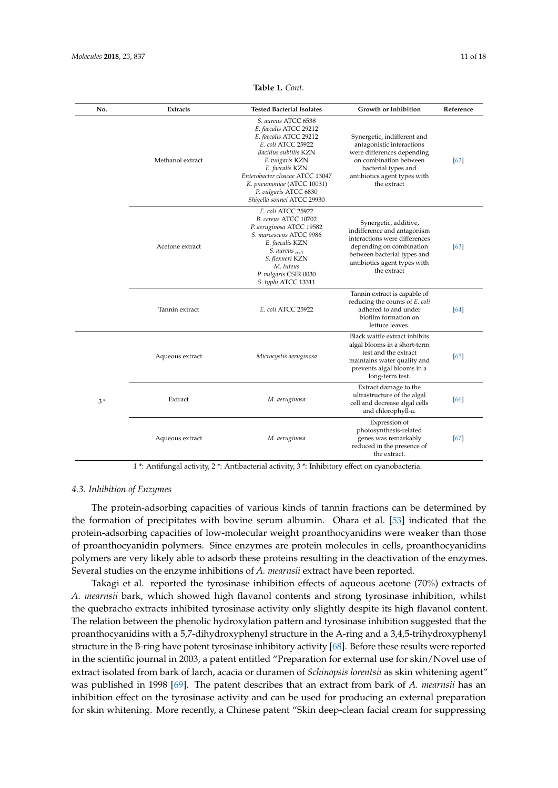<span id="page-10-0"></span>

| No.  | Extracts         | <b>Tested Bacterial Isolates</b>                                                                                                                                                                                                                                                     | <b>Growth or Inhibition</b>                                                                                                                                                                     | Reference |
|------|------------------|--------------------------------------------------------------------------------------------------------------------------------------------------------------------------------------------------------------------------------------------------------------------------------------|-------------------------------------------------------------------------------------------------------------------------------------------------------------------------------------------------|-----------|
|      | Methanol extract | S. aureus ATCC 6538<br>E. faecalis ATCC 29212<br>E. faecalis ATCC 29212<br>E. coli ATCC 25922<br>Bacillus subtilis KZN<br>P. vulgaris KZN<br>E. faecalis KZN<br>Enterobacter cloacae ATCC 13047<br>K. pneumoniae (ATCC 10031)<br>P. vulgaris ATCC 6830<br>Shigella sonnei ATCC 29930 | Synergetic, indifferent and<br>antagonistic interactions<br>were differences depending<br>on combination between<br>bacterial types and<br>antibiotics agent types with<br>the extract          | [62]      |
|      | Acetone extract  | E. coli ATCC 25922<br>B. cereus ATCC 10702<br>P. aeruginosa ATCC 19582<br>S. marcescens ATCC 9986<br>E. faecalis KZN<br>S. aureus <sub>ok1</sub><br>S. flexneri KZN<br>M. luteus<br>P. vulgaris CSIR 0030<br>S. typhi ATCC 13311                                                     | Synergetic, additive,<br>indifference and antagonism<br>interactions were differences<br>depending on combination<br>between bacterial types and<br>antibiotics agent types with<br>the extract | [63]      |
|      | Tannin extract   | E. coli ATCC 25922                                                                                                                                                                                                                                                                   | Tannin extract is capable of<br>reducing the counts of E. coli<br>adhered to and under<br>biofilm formation on<br>lettuce leaves.                                                               | [64]      |
| $3*$ | Aqueous extract  | Microcystis aeruginosa                                                                                                                                                                                                                                                               | Black wattle extract inhibits<br>algal blooms in a short-term<br>test and the extract<br>maintains water quality and<br>prevents algal blooms in a<br>long-term test.                           | [65]      |
|      | Extract          | M. aeruginosa                                                                                                                                                                                                                                                                        | Extract damage to the<br>ultrastructure of the algal<br>cell and decrease algal cells<br>and chlorophyll-a.                                                                                     | [66]      |
|      | Aqueous extract  | M. aeruginosa                                                                                                                                                                                                                                                                        | Expression of<br>photosynthesis-related<br>genes was remarkably<br>reduced in the presence of<br>the extract.                                                                                   | [67]      |

**Table 1.** *Cont.*

1 \*: Antifungal activity, 2 \*: Antibacterial activity, 3 \*: Inhibitory effect on cyanobacteria.

## *4.3. Inhibition of Enzymes*

The protein-adsorbing capacities of various kinds of tannin fractions can be determined by the formation of precipitates with bovine serum albumin. Ohara et al. [\[53\]](#page-16-4) indicated that the protein-adsorbing capacities of low-molecular weight proanthocyanidins were weaker than those of proanthocyanidin polymers. Since enzymes are protein molecules in cells, proanthocyanidins polymers are very likely able to adsorb these proteins resulting in the deactivation of the enzymes. Several studies on the enzyme inhibitions of *A. mearnsii* extract have been reported.

Takagi et al. reported the tyrosinase inhibition effects of aqueous acetone (70%) extracts of *A. mearnsii* bark, which showed high flavanol contents and strong tyrosinase inhibition, whilst the quebracho extracts inhibited tyrosinase activity only slightly despite its high flavanol content. The relation between the phenolic hydroxylation pattern and tyrosinase inhibition suggested that the proanthocyanidins with a 5,7-dihydroxyphenyl structure in the A-ring and a 3,4,5-trihydroxyphenyl structure in the B-ring have potent tyrosinase inhibitory activity [\[68\]](#page-16-19). Before these results were reported in the scientific journal in 2003, a patent entitled "Preparation for external use for skin/Novel use of extract isolated from bark of larch, acacia or duramen of *Schinopsis lorentsii* as skin whitening agent" was published in 1998 [\[69\]](#page-16-20). The patent describes that an extract from bark of *A. mearnsii* has an inhibition effect on the tyrosinase activity and can be used for producing an external preparation for skin whitening. More recently, a Chinese patent "Skin deep-clean facial cream for suppressing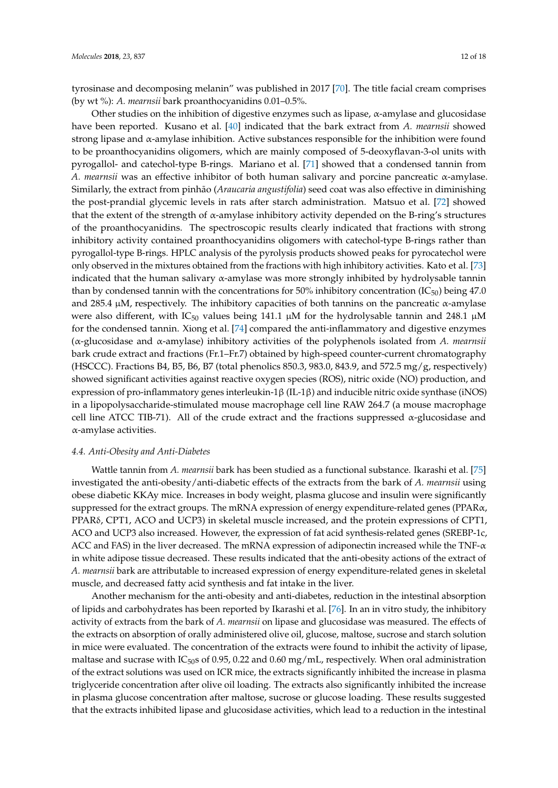tyrosinase and decomposing melanin" was published in 2017 [\[70\]](#page-16-21). The title facial cream comprises (by wt %): *A. mearnsii* bark proanthocyanidins 0.01–0.5%.

Other studies on the inhibition of digestive enzymes such as lipase,  $\alpha$ -amylase and glucosidase have been reported. Kusano et al. [\[40\]](#page-15-12) indicated that the bark extract from *A. mearnsii* showed strong lipase and α-amylase inhibition. Active substances responsible for the inhibition were found to be proanthocyanidins oligomers, which are mainly composed of 5-deoxyflavan-3-ol units with pyrogallol- and catechol-type B-rings. Mariano et al. [\[71\]](#page-17-0) showed that a condensed tannin from *A. mearnsii* was an effective inhibitor of both human salivary and porcine pancreatic α-amylase. Similarly, the extract from pinhão (*Araucaria angustifolia*) seed coat was also effective in diminishing the post-prandial glycemic levels in rats after starch administration. Matsuo et al. [\[72\]](#page-17-1) showed that the extent of the strength of  $\alpha$ -amylase inhibitory activity depended on the B-ring's structures of the proanthocyanidins. The spectroscopic results clearly indicated that fractions with strong inhibitory activity contained proanthocyanidins oligomers with catechol-type B-rings rather than pyrogallol-type B-rings. HPLC analysis of the pyrolysis products showed peaks for pyrocatechol were only observed in the mixtures obtained from the fractions with high inhibitory activities. Kato et al. [\[73\]](#page-17-2) indicated that the human salivary  $\alpha$ -amylase was more strongly inhibited by hydrolysable tannin than by condensed tannin with the concentrations for 50% inhibitory concentration  $(IC_{50})$  being 47.0 and 285.4  $\mu$ M, respectively. The inhibitory capacities of both tannins on the pancreatic  $\alpha$ -amylase were also different, with  $IC_{50}$  values being 141.1  $\mu$ M for the hydrolysable tannin and 248.1  $\mu$ M for the condensed tannin. Xiong et al. [\[74\]](#page-17-3) compared the anti-inflammatory and digestive enzymes (α-glucosidase and α-amylase) inhibitory activities of the polyphenols isolated from *A. mearnsii* bark crude extract and fractions (Fr.1–Fr.7) obtained by high-speed counter-current chromatography (HSCCC). Fractions B4, B5, B6, B7 (total phenolics 850.3, 983.0, 843.9, and 572.5 mg/g, respectively) showed significant activities against reactive oxygen species (ROS), nitric oxide (NO) production, and expression of pro-inflammatory genes interleukin-1β (IL-1β) and inducible nitric oxide synthase (iNOS) in a lipopolysaccharide-stimulated mouse macrophage cell line RAW 264.7 (a mouse macrophage cell line ATCC TIB-71). All of the crude extract and the fractions suppressed  $\alpha$ -glucosidase and α-amylase activities.

## *4.4. Anti-Obesity and Anti-Diabetes*

Wattle tannin from *A. mearnsii* bark has been studied as a functional substance. Ikarashi et al. [\[75\]](#page-17-4) investigated the anti-obesity/anti-diabetic effects of the extracts from the bark of *A. mearnsii* using obese diabetic KKAy mice. Increases in body weight, plasma glucose and insulin were significantly suppressed for the extract groups. The mRNA expression of energy expenditure-related genes (PPAR $\alpha$ , PPARδ, CPT1, ACO and UCP3) in skeletal muscle increased, and the protein expressions of CPT1, ACO and UCP3 also increased. However, the expression of fat acid synthesis-related genes (SREBP-1c, ACC and FAS) in the liver decreased. The mRNA expression of adiponectin increased while the TNF-α in white adipose tissue decreased. These results indicated that the anti-obesity actions of the extract of *A. mearnsii* bark are attributable to increased expression of energy expenditure-related genes in skeletal muscle, and decreased fatty acid synthesis and fat intake in the liver.

Another mechanism for the anti-obesity and anti-diabetes, reduction in the intestinal absorption of lipids and carbohydrates has been reported by Ikarashi et al. [\[76\]](#page-17-5). In an in vitro study, the inhibitory activity of extracts from the bark of *A. mearnsii* on lipase and glucosidase was measured. The effects of the extracts on absorption of orally administered olive oil, glucose, maltose, sucrose and starch solution in mice were evaluated. The concentration of the extracts were found to inhibit the activity of lipase, maltase and sucrase with IC $_{50}$ s of 0.95, 0.22 and 0.60 mg/mL, respectively. When oral administration of the extract solutions was used on ICR mice, the extracts significantly inhibited the increase in plasma triglyceride concentration after olive oil loading. The extracts also significantly inhibited the increase in plasma glucose concentration after maltose, sucrose or glucose loading. These results suggested that the extracts inhibited lipase and glucosidase activities, which lead to a reduction in the intestinal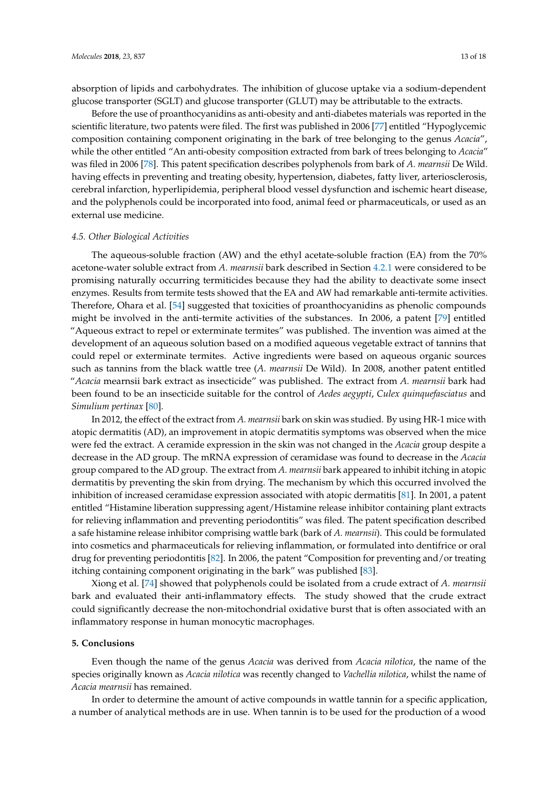absorption of lipids and carbohydrates. The inhibition of glucose uptake via a sodium-dependent glucose transporter (SGLT) and glucose transporter (GLUT) may be attributable to the extracts.

Before the use of proanthocyanidins as anti-obesity and anti-diabetes materials was reported in the scientific literature, two patents were filed. The first was published in 2006 [\[77\]](#page-17-6) entitled "Hypoglycemic composition containing component originating in the bark of tree belonging to the genus *Acacia*", while the other entitled "An anti-obesity composition extracted from bark of trees belonging to *Acacia*" was filed in 2006 [\[78\]](#page-17-7). This patent specification describes polyphenols from bark of *A. mearnsii* De Wild. having effects in preventing and treating obesity, hypertension, diabetes, fatty liver, arteriosclerosis, cerebral infarction, hyperlipidemia, peripheral blood vessel dysfunction and ischemic heart disease, and the polyphenols could be incorporated into food, animal feed or pharmaceuticals, or used as an external use medicine.

## *4.5. Other Biological Activities*

The aqueous-soluble fraction (AW) and the ethyl acetate-soluble fraction (EA) from the 70% acetone-water soluble extract from *A. mearnsii* bark described in Section [4.2.1](#page-6-0) were considered to be promising naturally occurring termiticides because they had the ability to deactivate some insect enzymes. Results from termite tests showed that the EA and AW had remarkable anti-termite activities. Therefore, Ohara et al. [\[54\]](#page-16-5) suggested that toxicities of proanthocyanidins as phenolic compounds might be involved in the anti-termite activities of the substances. In 2006, a patent [\[79\]](#page-17-8) entitled "Aqueous extract to repel or exterminate termites" was published. The invention was aimed at the development of an aqueous solution based on a modified aqueous vegetable extract of tannins that could repel or exterminate termites. Active ingredients were based on aqueous organic sources such as tannins from the black wattle tree (*A. mearnsii* De Wild). In 2008, another patent entitled "*Acacia* mearnsii bark extract as insecticide" was published. The extract from *A. mearnsii* bark had been found to be an insecticide suitable for the control of *Aedes aegypti*, *Culex quinquefasciatus* and *Simulium pertinax* [\[80\]](#page-17-9).

In 2012, the effect of the extract from *A. mearnsii* bark on skin was studied. By using HR-1 mice with atopic dermatitis (AD), an improvement in atopic dermatitis symptoms was observed when the mice were fed the extract. A ceramide expression in the skin was not changed in the *Acacia* group despite a decrease in the AD group. The mRNA expression of ceramidase was found to decrease in the *Acacia* group compared to the AD group. The extract from *A. mearnsii* bark appeared to inhibit itching in atopic dermatitis by preventing the skin from drying. The mechanism by which this occurred involved the inhibition of increased ceramidase expression associated with atopic dermatitis [\[81\]](#page-17-10). In 2001, a patent entitled "Histamine liberation suppressing agent/Histamine release inhibitor containing plant extracts for relieving inflammation and preventing periodontitis" was filed. The patent specification described a safe histamine release inhibitor comprising wattle bark (bark of *A. mearnsii*). This could be formulated into cosmetics and pharmaceuticals for relieving inflammation, or formulated into dentifrice or oral drug for preventing periodontitis [\[82\]](#page-17-11). In 2006, the patent "Composition for preventing and/or treating itching containing component originating in the bark" was published [\[83\]](#page-17-12).

Xiong et al. [\[74\]](#page-17-3) showed that polyphenols could be isolated from a crude extract of *A. mearnsii* bark and evaluated their anti-inflammatory effects. The study showed that the crude extract could significantly decrease the non-mitochondrial oxidative burst that is often associated with an inflammatory response in human monocytic macrophages.

## **5. Conclusions**

Even though the name of the genus *Acacia* was derived from *Acacia nilotica*, the name of the species originally known as *Acacia nilotica* was recently changed to *Vachellia nilotica*, whilst the name of *Acacia mearnsii* has remained.

In order to determine the amount of active compounds in wattle tannin for a specific application, a number of analytical methods are in use. When tannin is to be used for the production of a wood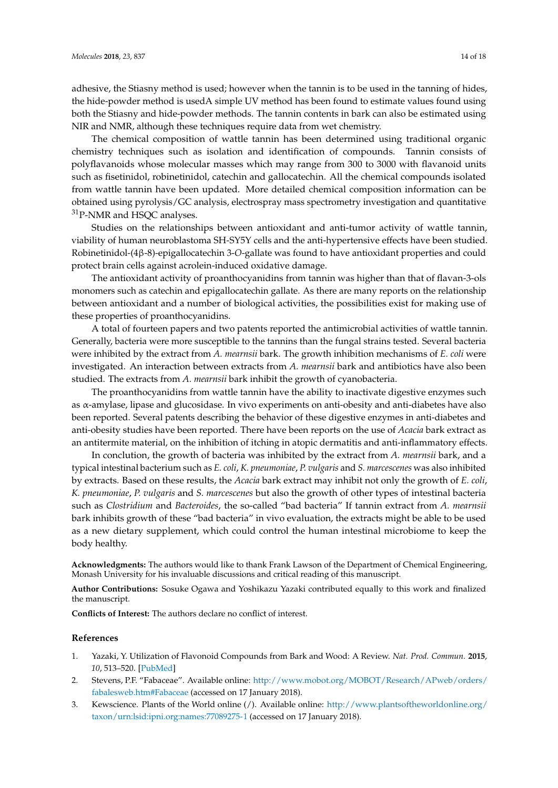adhesive, the Stiasny method is used; however when the tannin is to be used in the tanning of hides, the hide-powder method is usedA simple UV method has been found to estimate values found using both the Stiasny and hide-powder methods. The tannin contents in bark can also be estimated using NIR and NMR, although these techniques require data from wet chemistry.

The chemical composition of wattle tannin has been determined using traditional organic chemistry techniques such as isolation and identification of compounds. Tannin consists of polyflavanoids whose molecular masses which may range from 300 to 3000 with flavanoid units such as fisetinidol, robinetinidol, catechin and gallocatechin. All the chemical compounds isolated from wattle tannin have been updated. More detailed chemical composition information can be obtained using pyrolysis/GC analysis, electrospray mass spectrometry investigation and quantitative <sup>31</sup>P-NMR and HSQC analyses.

Studies on the relationships between antioxidant and anti-tumor activity of wattle tannin, viability of human neuroblastoma SH-SY5Y cells and the anti-hypertensive effects have been studied. Robinetinidol-(4β-8)-epigallocatechin 3-*O*-gallate was found to have antioxidant properties and could protect brain cells against acrolein-induced oxidative damage.

The antioxidant activity of proanthocyanidins from tannin was higher than that of flavan-3-ols monomers such as catechin and epigallocatechin gallate. As there are many reports on the relationship between antioxidant and a number of biological activities, the possibilities exist for making use of these properties of proanthocyanidins.

A total of fourteen papers and two patents reported the antimicrobial activities of wattle tannin. Generally, bacteria were more susceptible to the tannins than the fungal strains tested. Several bacteria were inhibited by the extract from *A. mearnsii* bark. The growth inhibition mechanisms of *E. coli* were investigated. An interaction between extracts from *A. mearnsii* bark and antibiotics have also been studied. The extracts from *A. mearnsii* bark inhibit the growth of cyanobacteria.

The proanthocyanidins from wattle tannin have the ability to inactivate digestive enzymes such as α-amylase, lipase and glucosidase. In vivo experiments on anti-obesity and anti-diabetes have also been reported. Several patents describing the behavior of these digestive enzymes in anti-diabetes and anti-obesity studies have been reported. There have been reports on the use of *Acacia* bark extract as an antitermite material, on the inhibition of itching in atopic dermatitis and anti-inflammatory effects.

In conclution, the growth of bacteria was inhibited by the extract from *A. mearnsii* bark, and a typical intestinal bacterium such as *E. coli*, *K. pneumoniae*, *P. vulgaris* and *S. marcescenes* was also inhibited by extracts. Based on these results, the *Acacia* bark extract may inhibit not only the growth of *E. coli*, *K. pneumoniae*, *P. vulgaris* and *S. marcescenes* but also the growth of other types of intestinal bacteria such as *Clostridium* and *Bacteroides*, the so-called "bad bacteria" If tannin extract from *A. mearnsii* bark inhibits growth of these "bad bacteria" in vivo evaluation, the extracts might be able to be used as a new dietary supplement, which could control the human intestinal microbiome to keep the body healthy.

**Acknowledgments:** The authors would like to thank Frank Lawson of the Department of Chemical Engineering, Monash University for his invaluable discussions and critical reading of this manuscript.

**Author Contributions:** Sosuke Ogawa and Yoshikazu Yazaki contributed equally to this work and finalized the manuscript.

**Conflicts of Interest:** The authors declare no conflict of interest.

## **References**

- <span id="page-13-0"></span>1. Yazaki, Y. Utilization of Flavonoid Compounds from Bark and Wood: A Review. *Nat. Prod. Commun.* **2015**, *10*, 513–520. [\[PubMed\]](http://www.ncbi.nlm.nih.gov/pubmed/25924541)
- <span id="page-13-1"></span>2. Stevens, P.F. "Fabaceae". Available online: [http://www.mobot.org/MOBOT/Research/APweb/orders/](http://www.mobot.org/MOBOT/Research/APweb/orders/fabalesweb.htm#Fabaceae) [fabalesweb.htm#Fabaceae](http://www.mobot.org/MOBOT/Research/APweb/orders/fabalesweb.htm#Fabaceae) (accessed on 17 January 2018).
- <span id="page-13-2"></span>3. Kewscience. Plants of the World online (/). Available online: [http://www.plantsoftheworldonline.org/](http://www.plantsoftheworldonline.org/taxon/urn:lsid:ipni.org:names:77089275-1) [taxon/urn:lsid:ipni.org:names:77089275-1](http://www.plantsoftheworldonline.org/taxon/urn:lsid:ipni.org:names:77089275-1) (accessed on 17 January 2018).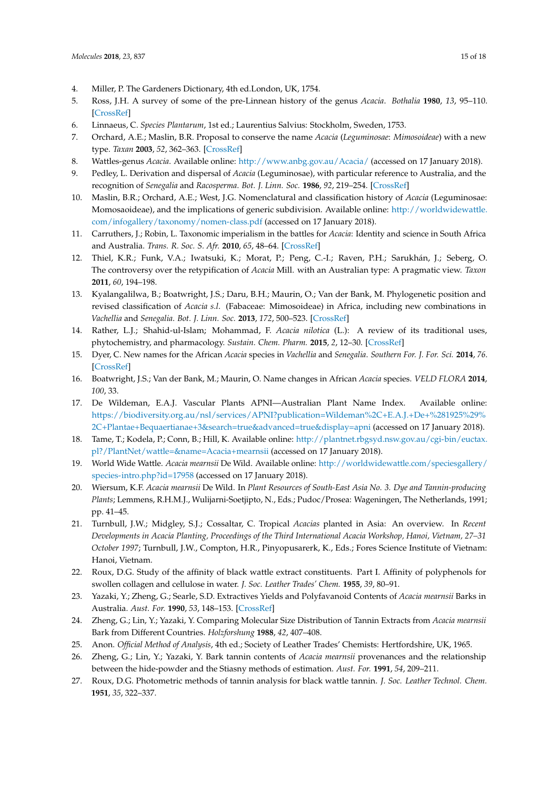- <span id="page-14-0"></span>4. Miller, P. The Gardeners Dictionary, 4th ed.London, UK, 1754.
- <span id="page-14-1"></span>5. Ross, J.H. A survey of some of the pre-Linnean history of the genus *Acacia*. *Bothalia* **1980**, *13*, 95–110. [\[CrossRef\]](http://dx.doi.org/10.4102/abc.v13i1/2.1293)
- <span id="page-14-2"></span>6. Linnaeus, C. *Species Plantarum*, 1st ed.; Laurentius Salvius: Stockholm, Sweden, 1753.
- <span id="page-14-3"></span>7. Orchard, A.E.; Maslin, B.R. Proposal to conserve the name *Acacia* (*Leguminosae*: *Mimosoideae*) with a new type. *Taxan* **2003**, *52*, 362–363. [\[CrossRef\]](http://dx.doi.org/10.2307/3647418)
- <span id="page-14-4"></span>8. Wattles-genus *Acacia*. Available online: <http://www.anbg.gov.au/Acacia/> (accessed on 17 January 2018).
- <span id="page-14-5"></span>9. Pedley, L. Derivation and dispersal of *Acacia* (Leguminosae), with particular reference to Australia, and the recognition of *Senegalia* and *Racosperma*. *Bot. J. Linn. Soc.* **1986**, *92*, 219–254. [\[CrossRef\]](http://dx.doi.org/10.1111/j.1095-8339.1986.tb01429.x)
- <span id="page-14-6"></span>10. Maslin, B.R.; Orchard, A.E.; West, J.G. Nomenclatural and classification history of *Acacia* (Leguminosae: Momosaoideae), and the implications of generic subdivision. Available online: [http://worldwidewattle.](http://worldwidewattle.com/infogallery/taxonomy/nomen-class.pdf) [com/infogallery/taxonomy/nomen-class.pdf](http://worldwidewattle.com/infogallery/taxonomy/nomen-class.pdf) (accessed on 17 January 2018).
- <span id="page-14-7"></span>11. Carruthers, J.; Robin, L. Taxonomic imperialism in the battles for *Acacia*: Identity and science in South Africa and Australia. *Trans. R. Soc. S. Afr.* **2010**, *65*, 48–64. [\[CrossRef\]](http://dx.doi.org/10.1080/00359191003652066)
- <span id="page-14-8"></span>12. Thiel, K.R.; Funk, V.A.; Iwatsuki, K.; Morat, P.; Peng, C.-I.; Raven, P.H.; Sarukhán, J.; Seberg, O. The controversy over the retypification of *Acacia* Mill. with an Australian type: A pragmatic view. *Taxon* **2011**, *60*, 194–198.
- <span id="page-14-9"></span>13. Kyalangalilwa, B.; Boatwright, J.S.; Daru, B.H.; Maurin, O.; Van der Bank, M. Phylogenetic position and revised classification of *Acacia s.l*. (Fabaceae: Mimosoideae) in Africa, including new combinations in *Vachellia* and *Senegalia*. *Bot. J. Linn. Soc.* **2013**, *172*, 500–523. [\[CrossRef\]](http://dx.doi.org/10.1111/boj.12047)
- <span id="page-14-10"></span>14. Rather, L.J.; Shahid-ul-Islam; Mohammad, F. *Acacia nilotica* (L.): A review of its traditional uses, phytochemistry, and pharmacology. *Sustain. Chem. Pharm.* **2015**, *2*, 12–30. [\[CrossRef\]](http://dx.doi.org/10.1016/j.scp.2015.08.002)
- <span id="page-14-11"></span>15. Dyer, C. New names for the African *Acacia* species in *Vachellia* and *Senegalia*. *Southern For. J. For. Sci.* **2014**, *76*. [\[CrossRef\]](http://dx.doi.org/10.2989/20702620.2014.980090)
- <span id="page-14-12"></span>16. Boatwright, J.S.; Van der Bank, M.; Maurin, O. Name changes in African *Acacia* species. *VELD FLORA* **2014**, *100*, 33.
- <span id="page-14-13"></span>17. De Wildeman, E.A.J. Vascular Plants APNI—Australian Plant Name Index. Available online: [https://biodiversity.org.au/nsl/services/APNI?publication=Wildeman%2C+E.A.J.+De+%281925%29%](https://biodiversity.org.au/nsl/services/APNI?publication=Wildeman%2C+E.A.J.+De+%281925%29%2C+Plantae+Bequaertianae+3&search=true&advanced=true&display=apni) [2C+Plantae+Bequaertianae+3&search=true&advanced=true&display=apni](https://biodiversity.org.au/nsl/services/APNI?publication=Wildeman%2C+E.A.J.+De+%281925%29%2C+Plantae+Bequaertianae+3&search=true&advanced=true&display=apni) (accessed on 17 January 2018).
- <span id="page-14-14"></span>18. Tame, T.; Kodela, P.; Conn, B.; Hill, K. Available online: [http://plantnet.rbgsyd.nsw.gov.au/cgi-bin/euctax.](http://plantnet.rbgsyd.nsw.gov.au/cgi-bin/euctax.pl?/PlantNet/wattle=&name=Acacia+mearnsii) [pl?/PlantNet/wattle=&name=Acacia+mearnsii](http://plantnet.rbgsyd.nsw.gov.au/cgi-bin/euctax.pl?/PlantNet/wattle=&name=Acacia+mearnsii) (accessed on 17 January 2018).
- <span id="page-14-15"></span>19. World Wide Wattle. *Acacia mearnsii* De Wild. Available online: [http://worldwidewattle.com/speciesgallery/](http://worldwidewattle.com/speciesgallery/species-intro.php?id=17958) [species-intro.php?id=17958](http://worldwidewattle.com/speciesgallery/species-intro.php?id=17958) (accessed on 17 January 2018).
- <span id="page-14-16"></span>20. Wiersum, K.F. *Acacia mearnsii* De Wild. In *Plant Resources of South-East Asia No. 3. Dye and Tannin-producing Plants*; Lemmens, R.H.M.J., Wulijarni-Soetjipto, N., Eds.; Pudoc/Prosea: Wageningen, The Netherlands, 1991; pp. 41–45.
- <span id="page-14-17"></span>21. Turnbull, J.W.; Midgley, S.J.; Cossaltar, C. Tropical *Acacias* planted in Asia: An overview. In *Recent Developments in Acacia Planting, Proceedings of the Third International Acacia Workshop, Hanoi, Vietnam, 27–31 October 1997*; Turnbull, J.W., Compton, H.R., Pinyopusarerk, K., Eds.; Fores Science Institute of Vietnam: Hanoi, Vietnam.
- <span id="page-14-18"></span>22. Roux, D.G. Study of the affinity of black wattle extract constituents. Part I. Affinity of polyphenols for swollen collagen and cellulose in water. *J. Soc. Leather Trades' Chem.* **1955**, *39*, 80–91.
- <span id="page-14-19"></span>23. Yazaki, Y.; Zheng, G.; Searle, S.D. Extractives Yields and Polyfavanoid Contents of *Acacia mearnsii* Barks in Australia. *Aust. For.* **1990**, *53*, 148–153. [\[CrossRef\]](http://dx.doi.org/10.1080/00049158.1990.10676071)
- <span id="page-14-20"></span>24. Zheng, G.; Lin, Y.; Yazaki, Y. Comparing Molecular Size Distribution of Tannin Extracts from *Acacia mearnsii* Bark from Different Countries. *Holzforshung* **1988**, *42*, 407–408.
- <span id="page-14-21"></span>25. Anon. *Official Method of Analysis*, 4th ed.; Society of Leather Trades' Chemists: Hertfordshire, UK, 1965.
- <span id="page-14-22"></span>26. Zheng, G.; Lin, Y.; Yazaki, Y. Bark tannin contents of *Acacia mearnsii* provenances and the relationship between the hide-powder and the Stiasny methods of estimation. *Aust. For.* **1991**, *54*, 209–211.
- <span id="page-14-23"></span>27. Roux, D.G. Photometric methods of tannin analysis for black wattle tannin. *J. Soc. Leather Technol. Chem.* **1951**, *35*, 322–337.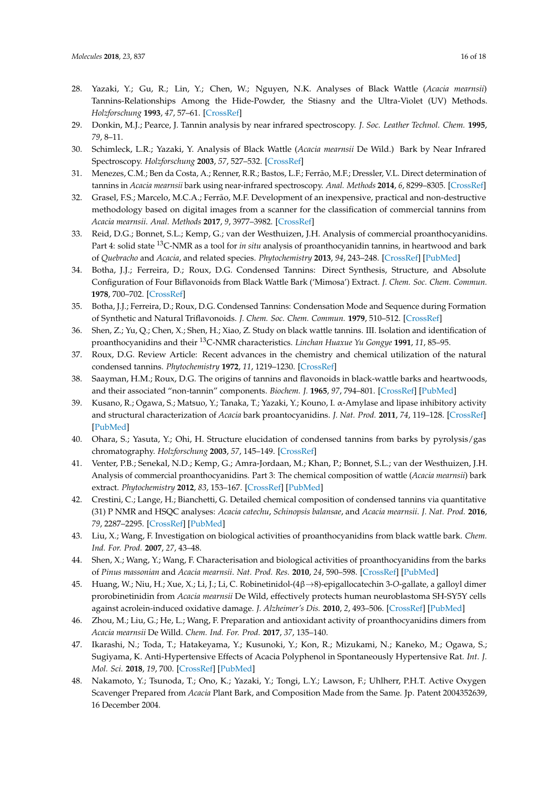- <span id="page-15-0"></span>28. Yazaki, Y.; Gu, R.; Lin, Y.; Chen, W.; Nguyen, N.K. Analyses of Black Wattle (*Acacia mearnsii*) Tannins-Relationships Among the Hide-Powder, the Stiasny and the Ultra-Violet (UV) Methods. *Holzforschung* **1993**, *47*, 57–61. [\[CrossRef\]](http://dx.doi.org/10.1515/hfsg.1993.47.1.57)
- <span id="page-15-1"></span>29. Donkin, M.J.; Pearce, J. Tannin analysis by near infrared spectroscopy. *J. Soc. Leather Technol. Chem.* **1995**, *79*, 8–11.
- <span id="page-15-2"></span>30. Schimleck, L.R.; Yazaki, Y. Analysis of Black Wattle (*Acacia mearnsii* De Wild.) Bark by Near Infrared Spectroscopy. *Holzforschung* **2003**, *57*, 527–532. [\[CrossRef\]](http://dx.doi.org/10.1515/HF.2003.078)
- <span id="page-15-3"></span>31. Menezes, C.M.; Ben da Costa, A.; Renner, R.R.; Bastos, L.F.; Ferrão, M.F.; Dressler, V.L. Direct determination of tannins in *Acacia mearnsii* bark using near-infrared spectroscopy. *Anal. Methods* **2014**, *6*, 8299–8305. [\[CrossRef\]](http://dx.doi.org/10.1039/C4AY01558D)
- <span id="page-15-4"></span>32. Grasel, F.S.; Marcelo, M.C.A.; Ferrão, M.F. Development of an inexpensive, practical and non-destructive methodology based on digital images from a scanner for the classification of commercial tannins from *Acacia mearnsii*. *Anal. Methods* **2017**, *9*, 3977–3982. [\[CrossRef\]](http://dx.doi.org/10.1039/C7AY00945C)
- <span id="page-15-5"></span>33. Reid, D.G.; Bonnet, S.L.; Kemp, G.; van der Westhuizen, J.H. Analysis of commercial proanthocyanidins. Part 4: solid state <sup>13</sup>C-NMR as a tool for *in situ* analysis of proanthocyanidin tannins, in heartwood and bark of *Quebracho* and *Acacia*, and related species. *Phytochemistry* **2013**, *94*, 243–248. [\[CrossRef\]](http://dx.doi.org/10.1016/j.phytochem.2013.06.007) [\[PubMed\]](http://www.ncbi.nlm.nih.gov/pubmed/23838626)
- <span id="page-15-6"></span>34. Botha, J.J.; Ferreira, D.; Roux, D.G. Condensed Tannins: Direct Synthesis, Structure, and Absolute Configuration of Four Biflavonoids from Black Wattle Bark ('Mimosa') Extract. *J. Chem. Soc. Chem. Commun.* **1978**, 700–702. [\[CrossRef\]](http://dx.doi.org/10.1039/C39780000700)
- <span id="page-15-7"></span>35. Botha, J.J.; Ferreira, D.; Roux, D.G. Condensed Tannins: Condensation Mode and Sequence during Formation of Synthetic and Natural Triflavonoids. *J. Chem. Soc. Chem. Commun.* **1979**, 510–512. [\[CrossRef\]](http://dx.doi.org/10.1039/c39790000510)
- <span id="page-15-8"></span>36. Shen, Z.; Yu, Q.; Chen, X.; Shen, H.; Xiao, Z. Study on black wattle tannins. III. Isolation and identification of proanthocyanidins and their <sup>13</sup>C-NMR characteristics. *Linchan Huaxue Yu Gongye* **1991**, *11*, 85–95.
- <span id="page-15-9"></span>37. Roux, D.G. Review Article: Recent advances in the chemistry and chemical utilization of the natural condensed tannins. *Phytochemistry* **1972**, *11*, 1219–1230. [\[CrossRef\]](http://dx.doi.org/10.1016/S0031-9422(00)90068-2)
- <span id="page-15-10"></span>38. Saayman, H.M.; Roux, D.G. The origins of tannins and flavonoids in black-wattle barks and heartwoods, and their associated "non-tannin" components. *Biochem. J.* **1965**, *97*, 794–801. [\[CrossRef\]](http://dx.doi.org/10.1042/bj0970794) [\[PubMed\]](http://www.ncbi.nlm.nih.gov/pubmed/5881667)
- <span id="page-15-11"></span>39. Kusano, R.; Ogawa, S.; Matsuo, Y.; Tanaka, T.; Yazaki, Y.; Kouno, I. α-Amylase and lipase inhibitory activity and structural characterization of *Acacia* bark proantocyanidins. *J. Nat. Prod.* **2011**, *74*, 119–128. [\[CrossRef\]](http://dx.doi.org/10.1021/np100372t) [\[PubMed\]](http://www.ncbi.nlm.nih.gov/pubmed/21192716)
- <span id="page-15-12"></span>40. Ohara, S.; Yasuta, Y.; Ohi, H. Structure elucidation of condensed tannins from barks by pyrolysis/gas chromatography. *Holzforschung* **2003**, *57*, 145–149. [\[CrossRef\]](http://dx.doi.org/10.1515/HF.2003.023)
- <span id="page-15-13"></span>41. Venter, P.B.; Senekal, N.D.; Kemp, G.; Amra-Jordaan, M.; Khan, P.; Bonnet, S.L.; van der Westhuizen, J.H. Analysis of commercial proanthocyanidins. Part 3: The chemical composition of wattle (*Acacia mearnsii*) bark extract. *Phytochemistry* **2012**, *83*, 153–167. [\[CrossRef\]](http://dx.doi.org/10.1016/j.phytochem.2012.07.012) [\[PubMed\]](http://www.ncbi.nlm.nih.gov/pubmed/22917955)
- <span id="page-15-14"></span>42. Crestini, C.; Lange, H.; Bianchetti, G. Detailed chemical composition of condensed tannins via quantitative (31) P NMR and HSQC analyses: *Acacia catechu*, *Schinopsis balansae*, and *Acacia mearnsii*. *J. Nat. Prod.* **2016**, *79*, 2287–2295. [\[CrossRef\]](http://dx.doi.org/10.1021/acs.jnatprod.6b00380) [\[PubMed\]](http://www.ncbi.nlm.nih.gov/pubmed/27551744)
- <span id="page-15-15"></span>43. Liu, X.; Wang, F. Investigation on biological activities of proanthocyanidins from black wattle bark. *Chem. Ind. For. Prod.* **2007**, *27*, 43–48.
- <span id="page-15-16"></span>44. Shen, X.; Wang, Y.; Wang, F. Characterisation and biological activities of proanthocyanidins from the barks of *Pinus massonian* and *Acacia mearnsii*. *Nat. Prod. Res.* **2010**, *24*, 590–598. [\[CrossRef\]](http://dx.doi.org/10.1080/14786410903194472) [\[PubMed\]](http://www.ncbi.nlm.nih.gov/pubmed/20397109)
- <span id="page-15-17"></span>45. Huang, W.; Niu, H.; Xue, X.; Li, J.; Li, C. Robinetinidol-(4β→8)-epigallocatechin 3-*O*-gallate, a galloyl dimer prorobinetinidin from *Acacia mearnsii* De Wild, effectively protects human neuroblastoma SH-SY5Y cells against acrolein-induced oxidative damage. *J. Alzheimer's Dis.* **2010**, *2*, 493–506. [\[CrossRef\]](http://dx.doi.org/10.3233/JAD-2010-090886) [\[PubMed\]](http://www.ncbi.nlm.nih.gov/pubmed/20555145)
- <span id="page-15-18"></span>46. Zhou, M.; Liu, G.; He, L.; Wang, F. Preparation and antioxidant activity of proanthocyanidins dimers from *Acacia mearnsii* De Willd. *Chem. Ind. For. Prod.* **2017**, *37*, 135–140.
- <span id="page-15-19"></span>47. Ikarashi, N.; Toda, T.; Hatakeyama, Y.; Kusunoki, Y.; Kon, R.; Mizukami, N.; Kaneko, M.; Ogawa, S.; Sugiyama, K. Anti-Hypertensive Effects of Acacia Polyphenol in Spontaneously Hypertensive Rat. *Int. J. Mol. Sci.* **2018**, *19*, 700. [\[CrossRef\]](http://dx.doi.org/10.3390/ijms19030700) [\[PubMed\]](http://www.ncbi.nlm.nih.gov/pubmed/29494506)
- <span id="page-15-20"></span>48. Nakamoto, Y.; Tsunoda, T.; Ono, K.; Yazaki, Y.; Tongi, L.Y.; Lawson, F.; Uhlherr, P.H.T. Active Oxygen Scavenger Prepared from *Acacia* Plant Bark, and Composition Made from the Same. Jp. Patent 2004352639, 16 December 2004.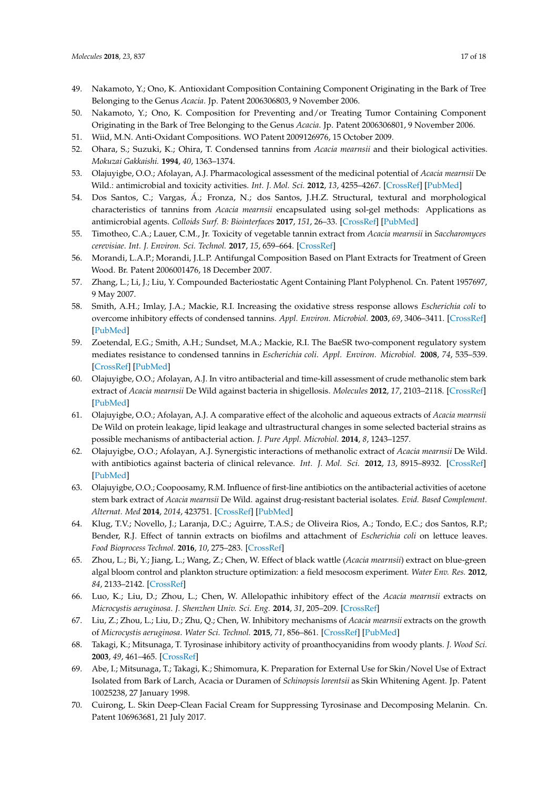- <span id="page-16-0"></span>49. Nakamoto, Y.; Ono, K. Antioxidant Composition Containing Component Originating in the Bark of Tree Belonging to the Genus *Acacia*. Jp. Patent 2006306803, 9 November 2006.
- <span id="page-16-1"></span>50. Nakamoto, Y.; Ono, K. Composition for Preventing and/or Treating Tumor Containing Component Originating in the Bark of Tree Belonging to the Genus *Acacia*. Jp. Patent 2006306801, 9 November 2006.
- <span id="page-16-2"></span>51. Wiid, M.N. Anti-Oxidant Compositions. WO Patent 2009126976, 15 October 2009.
- <span id="page-16-3"></span>52. Ohara, S.; Suzuki, K.; Ohira, T. Condensed tannins from *Acacia mearnsii* and their biological activities. *Mokuzai Gakkaishi.* **1994**, *40*, 1363–1374.
- <span id="page-16-4"></span>53. Olajuyigbe, O.O.; Afolayan, A.J. Pharmacological assessment of the medicinal potential of *Acacia mearnsii* De Wild.: antimicrobial and toxicity activities. *Int. J. Mol. Sci.* **2012**, *13*, 4255–4267. [\[CrossRef\]](http://dx.doi.org/10.3390/ijms13044255) [\[PubMed\]](http://www.ncbi.nlm.nih.gov/pubmed/22605976)
- <span id="page-16-5"></span>54. Dos Santos, C.; Vargas, Á.; Fronza, N.; dos Santos, J.H.Z. Structural, textural and morphological characteristics of tannins from *Acacia mearnsii* encapsulated using sol-gel methods: Applications as antimicrobial agents. *Colloids Surf. B: Biointerfaces* **2017**, *151*, 26–33. [\[CrossRef\]](http://dx.doi.org/10.1016/j.colsurfb.2016.11.041) [\[PubMed\]](http://www.ncbi.nlm.nih.gov/pubmed/27940166)
- <span id="page-16-6"></span>55. Timotheo, C.A.; Lauer, C.M., Jr. Toxicity of vegetable tannin extract from *Acacia mearnsii* in *Saccharomyces cerevisiae*. *Int. J. Environ. Sci. Technol.* **2017**, *15*, 659–664. [\[CrossRef\]](http://dx.doi.org/10.1007/s13762-017-1430-z)
- <span id="page-16-7"></span>56. Morandi, L.A.P.; Morandi, J.L.P. Antifungal Composition Based on Plant Extracts for Treatment of Green Wood. Br. Patent 2006001476, 18 December 2007.
- <span id="page-16-8"></span>57. Zhang, L.; Li, J.; Liu, Y. Compounded Bacteriostatic Agent Containing Plant Polyphenol. Cn. Patent 1957697, 9 May 2007.
- <span id="page-16-9"></span>58. Smith, A.H.; Imlay, J.A.; Mackie, R.I. Increasing the oxidative stress response allows *Escherichia coli* to overcome inhibitory effects of condensed tannins. *Appl. Environ. Microbiol.* **2003**, *69*, 3406–3411. [\[CrossRef\]](http://dx.doi.org/10.1128/AEM.69.6.3406-3411.2003) [\[PubMed\]](http://www.ncbi.nlm.nih.gov/pubmed/12788743)
- <span id="page-16-10"></span>59. Zoetendal, E.G.; Smith, A.H.; Sundset, M.A.; Mackie, R.I. The BaeSR two-component regulatory system mediates resistance to condensed tannins in *Escherichia coli*. *Appl. Environ. Microbiol.* **2008**, *74*, 535–539. [\[CrossRef\]](http://dx.doi.org/10.1128/AEM.02271-07) [\[PubMed\]](http://www.ncbi.nlm.nih.gov/pubmed/18039828)
- <span id="page-16-11"></span>60. Olajuyigbe, O.O.; Afolayan, A.J. In vitro antibacterial and time-kill assessment of crude methanolic stem bark extract of *Acacia mearnsii* De Wild against bacteria in shigellosis. *Molecules* **2012**, *17*, 2103–2118. [\[CrossRef\]](http://dx.doi.org/10.3390/molecules17022103) [\[PubMed\]](http://www.ncbi.nlm.nih.gov/pubmed/22354188)
- <span id="page-16-12"></span>61. Olajuyigbe, O.O.; Afolayan, A.J. A comparative effect of the alcoholic and aqueous extracts of *Acacia mearnsii* De Wild on protein leakage, lipid leakage and ultrastructural changes in some selected bacterial strains as possible mechanisms of antibacterial action. *J. Pure Appl. Microbiol.* **2014**, *8*, 1243–1257.
- <span id="page-16-13"></span>62. Olajuyigbe, O.O.; Afolayan, A.J. Synergistic interactions of methanolic extract of *Acacia mearnsii* De Wild. with antibiotics against bacteria of clinical relevance. *Int. J. Mol. Sci.* **2012**, *13*, 8915–8932. [\[CrossRef\]](http://dx.doi.org/10.3390/ijms13078915) [\[PubMed\]](http://www.ncbi.nlm.nih.gov/pubmed/22942742)
- <span id="page-16-14"></span>63. Olajuyigbe, O.O.; Coopoosamy, R.M. Influence of first-line antibiotics on the antibacterial activities of acetone stem bark extract of *Acacia mearnsii* De Wild. against drug-resistant bacterial isolates. *Evid. Based Complement. Alternat. Med* **2014**, *2014*, 423751. [\[CrossRef\]](http://dx.doi.org/10.1155/2014/423751) [\[PubMed\]](http://www.ncbi.nlm.nih.gov/pubmed/25101132)
- <span id="page-16-15"></span>64. Klug, T.V.; Novello, J.; Laranja, D.C.; Aguirre, T.A.S.; de Oliveira Rios, A.; Tondo, E.C.; dos Santos, R.P.; Bender, R.J. Effect of tannin extracts on biofilms and attachment of *Escherichia coli* on lettuce leaves. *Food Bioprocess Technol.* **2016**, *10*, 275–283. [\[CrossRef\]](http://dx.doi.org/10.1007/s11947-016-1812-0)
- <span id="page-16-16"></span>65. Zhou, L.; Bi, Y.; Jiang, L.; Wang, Z.; Chen, W. Effect of black wattle (*Acacia mearnsii*) extract on blue-green algal bloom control and plankton structure optimization: a field mesocosm experiment. *Water Env. Res.* **2012**, *84*, 2133–2142. [\[CrossRef\]](http://dx.doi.org/10.2175/106143012X13418552642083)
- <span id="page-16-17"></span>66. Luo, K.; Liu, D.; Zhou, L.; Chen, W. Allelopathic inhibitory effect of the *Acacia mearnsii* extracts on *Microcystis aeruginosa*. *J. Shenzhen Univ. Sci. Eng.* **2014**, *31*, 205–209. [\[CrossRef\]](http://dx.doi.org/10.3724/SP.J.1249.2014.02205)
- <span id="page-16-18"></span>67. Liu, Z.; Zhou, L.; Liu, D.; Zhu, Q.; Chen, W. Inhibitory mechanisms of *Acacia mearnsii* extracts on the growth of *Microcystis aeruginosa*. *Water Sci. Technol.* **2015**, *71*, 856–861. [\[CrossRef\]](http://dx.doi.org/10.2166/wst.2015.038) [\[PubMed\]](http://www.ncbi.nlm.nih.gov/pubmed/25812094)
- <span id="page-16-19"></span>68. Takagi, K.; Mitsunaga, T. Tyrosinase inhibitory activity of proanthocyanidins from woody plants. *J. Wood Sci.* **2003**, *49*, 461–465. [\[CrossRef\]](http://dx.doi.org/10.1007/s10086-002-0496-4)
- <span id="page-16-20"></span>69. Abe, I.; Mitsunaga, T.; Takagi, K.; Shimomura, K. Preparation for External Use for Skin/Novel Use of Extract Isolated from Bark of Larch, Acacia or Duramen of *Schinopsis lorentsii* as Skin Whitening Agent. Jp. Patent 10025238, 27 January 1998.
- <span id="page-16-21"></span>70. Cuirong, L. Skin Deep-Clean Facial Cream for Suppressing Tyrosinase and Decomposing Melanin. Cn. Patent 106963681, 21 July 2017.